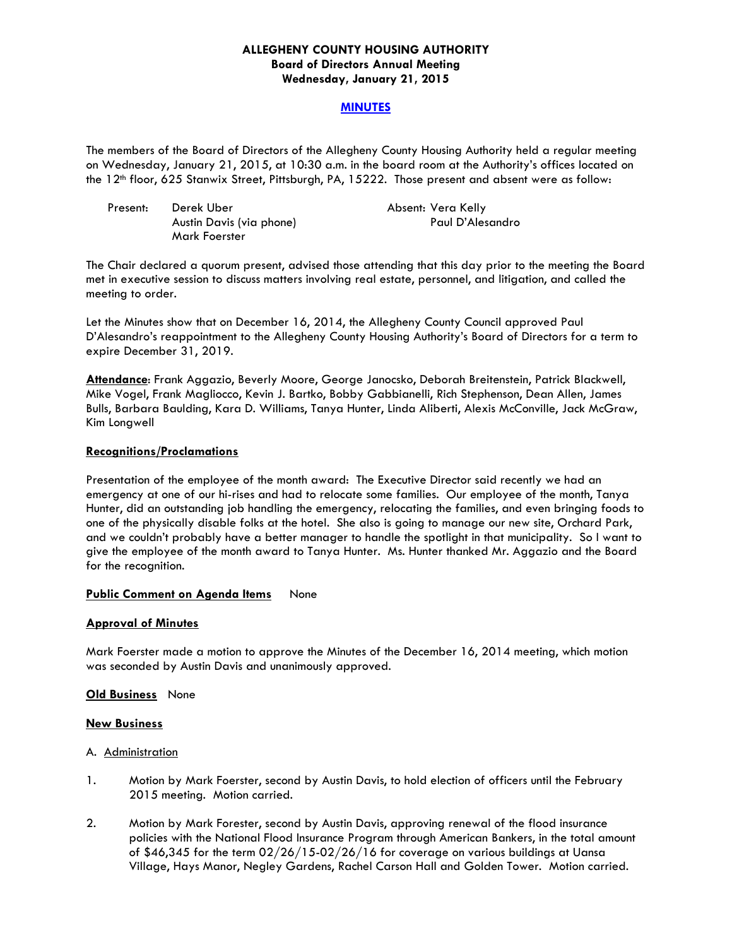### **ALLEGHENY COUNTY HOUSING AUTHORITY Board of Directors Annual Meeting Wednesday, January 21, 2015**

### **MINUTES**

The members of the Board of Directors of the Allegheny County Housing Authority held a regular meeting on Wednesday, January 21, 2015, at 10:30 a.m. in the board room at the Authority's offices located on the 12th floor, 625 Stanwix Street, Pittsburgh, PA, 15222. Those present and absent were as follow:

| Present: | Derek Uber               | Absent: Vera Kelly |
|----------|--------------------------|--------------------|
|          | Austin Davis (via phone) | Paul D'Alesandro   |
|          | Mark Foerster            |                    |

The Chair declared a quorum present, advised those attending that this day prior to the meeting the Board met in executive session to discuss matters involving real estate, personnel, and litigation, and called the meeting to order.

Let the Minutes show that on December 16, 2014, the Allegheny County Council approved Paul D'Alesandro's reappointment to the Allegheny County Housing Authority's Board of Directors for a term to expire December 31, 2019.

**Attendance**: Frank Aggazio, Beverly Moore, George Janocsko, Deborah Breitenstein, Patrick Blackwell, Mike Vogel, Frank Magliocco, Kevin J. Bartko, Bobby Gabbianelli, Rich Stephenson, Dean Allen, James Bulls, Barbara Baulding, Kara D. Williams, Tanya Hunter, Linda Aliberti, Alexis McConville, Jack McGraw, Kim Longwell

### **Recognitions/Proclamations**

Presentation of the employee of the month award: The Executive Director said recently we had an emergency at one of our hi-rises and had to relocate some families. Our employee of the month, Tanya Hunter, did an outstanding job handling the emergency, relocating the families, and even bringing foods to one of the physically disable folks at the hotel. She also is going to manage our new site, Orchard Park, and we couldn't probably have a better manager to handle the spotlight in that municipality. So I want to give the employee of the month award to Tanya Hunter. Ms. Hunter thanked Mr. Aggazio and the Board for the recognition.

### **Public Comment on Agenda Items** None

### **Approval of Minutes**

Mark Foerster made a motion to approve the Minutes of the December 16, 2014 meeting, which motion was seconded by Austin Davis and unanimously approved.

#### **Old Business** None

#### **New Business**

#### A. Administration

- 1. Motion by Mark Foerster, second by Austin Davis, to hold election of officers until the February 2015 meeting. Motion carried.
- 2. Motion by Mark Forester, second by Austin Davis, approving renewal of the flood insurance policies with the National Flood Insurance Program through American Bankers, in the total amount of \$46,345 for the term 02/26/15-02/26/16 for coverage on various buildings at Uansa Village, Hays Manor, Negley Gardens, Rachel Carson Hall and Golden Tower. Motion carried.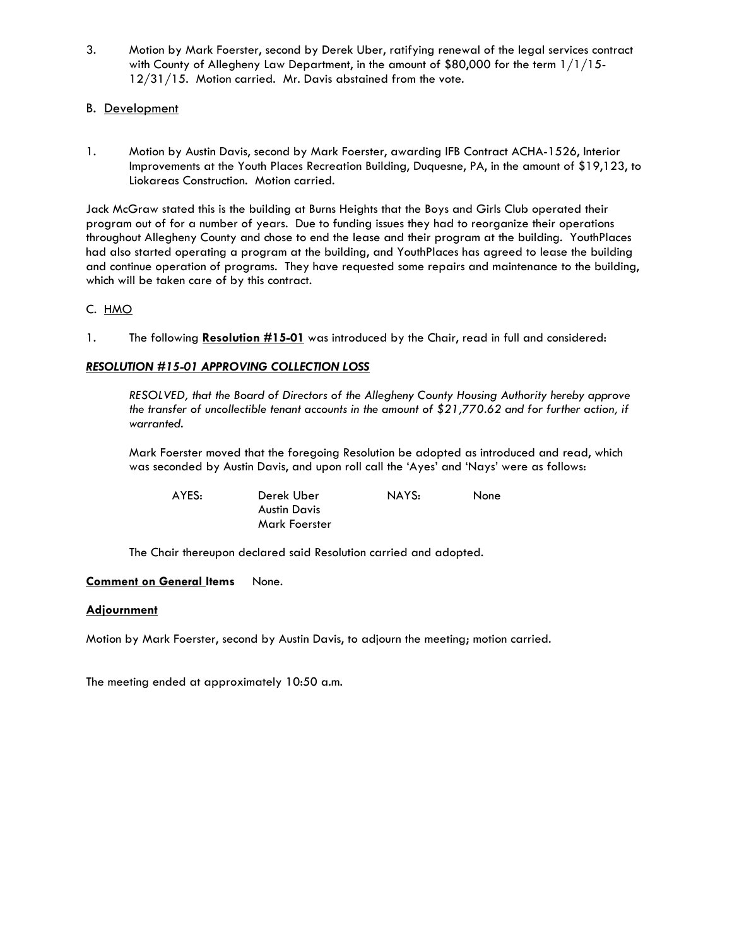3. Motion by Mark Foerster, second by Derek Uber, ratifying renewal of the legal services contract with County of Allegheny Law Department, in the amount of \$80,000 for the term  $1/1/15$ -12/31/15. Motion carried. Mr. Davis abstained from the vote.

# B. Development

1. Motion by Austin Davis, second by Mark Foerster, awarding IFB Contract ACHA-1526, Interior Improvements at the Youth Places Recreation Building, Duquesne, PA, in the amount of \$19,123, to Liokareas Construction. Motion carried.

Jack McGraw stated this is the building at Burns Heights that the Boys and Girls Club operated their program out of for a number of years. Due to funding issues they had to reorganize their operations throughout Allegheny County and chose to end the lease and their program at the building. YouthPlaces had also started operating a program at the building, and YouthPlaces has agreed to lease the building and continue operation of programs. They have requested some repairs and maintenance to the building, which will be taken care of by this contract.

## C. HMO

1. The following **Resolution #15-01** was introduced by the Chair, read in full and considered:

## *RESOLUTION #15-01 APPROVING COLLECTION LOSS*

 *RESOLVED, that the Board of Directors of the Allegheny County Housing Authority hereby approve the transfer of uncollectible tenant accounts in the amount of \$21,770.62 and for further action, if warranted.* 

Mark Foerster moved that the foregoing Resolution be adopted as introduced and read, which was seconded by Austin Davis, and upon roll call the 'Ayes' and 'Nays' were as follows:

 AYES: Derek Uber NAYS: None Austin Davis Mark Foerster

The Chair thereupon declared said Resolution carried and adopted.

### **Comment on General Items**  None.

### **Adjournment**

Motion by Mark Foerster, second by Austin Davis, to adjourn the meeting; motion carried.

The meeting ended at approximately 10:50 a.m.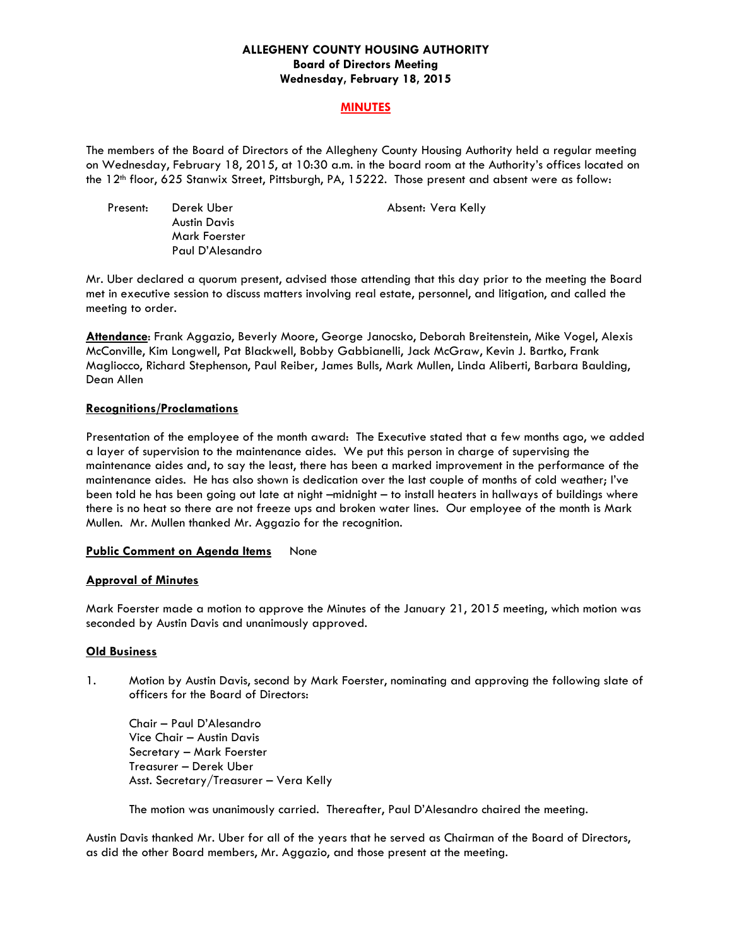### **ALLEGHENY COUNTY HOUSING AUTHORITY Board of Directors Meeting Wednesday, February 18, 2015**

### **MINUTES**

The members of the Board of Directors of the Allegheny County Housing Authority held a regular meeting on Wednesday, February 18, 2015, at 10:30 a.m. in the board room at the Authority's offices located on the 12th floor, 625 Stanwix Street, Pittsburgh, PA, 15222. Those present and absent were as follow:

| Present: | Derek Uber          |
|----------|---------------------|
|          | <b>Austin Davis</b> |
|          | Mark Foerster       |
|          | Paul D'Alesandro    |

Absent: Vera Kelly

Mr. Uber declared a quorum present, advised those attending that this day prior to the meeting the Board met in executive session to discuss matters involving real estate, personnel, and litigation, and called the meeting to order.

**Attendance**: Frank Aggazio, Beverly Moore, George Janocsko, Deborah Breitenstein, Mike Vogel, Alexis McConville, Kim Longwell, Pat Blackwell, Bobby Gabbianelli, Jack McGraw, Kevin J. Bartko, Frank Magliocco, Richard Stephenson, Paul Reiber, James Bulls, Mark Mullen, Linda Aliberti, Barbara Baulding, Dean Allen

## **Recognitions/Proclamations**

Presentation of the employee of the month award: The Executive stated that a few months ago, we added a layer of supervision to the maintenance aides. We put this person in charge of supervising the maintenance aides and, to say the least, there has been a marked improvement in the performance of the maintenance aides. He has also shown is dedication over the last couple of months of cold weather; I've been told he has been going out late at night –midnight – to install heaters in hallways of buildings where there is no heat so there are not freeze ups and broken water lines. Our employee of the month is Mark Mullen. Mr. Mullen thanked Mr. Aggazio for the recognition.

### **Public Comment on Agenda Items** None

# **Approval of Minutes**

Mark Foerster made a motion to approve the Minutes of the January 21, 2015 meeting, which motion was seconded by Austin Davis and unanimously approved.

### **Old Business**

1. Motion by Austin Davis, second by Mark Foerster, nominating and approving the following slate of officers for the Board of Directors:

 Chair – Paul D'Alesandro Vice Chair – Austin Davis Secretary – Mark Foerster Treasurer – Derek Uber Asst. Secretary/Treasurer – Vera Kelly

The motion was unanimously carried. Thereafter, Paul D'Alesandro chaired the meeting.

Austin Davis thanked Mr. Uber for all of the years that he served as Chairman of the Board of Directors, as did the other Board members, Mr. Aggazio, and those present at the meeting.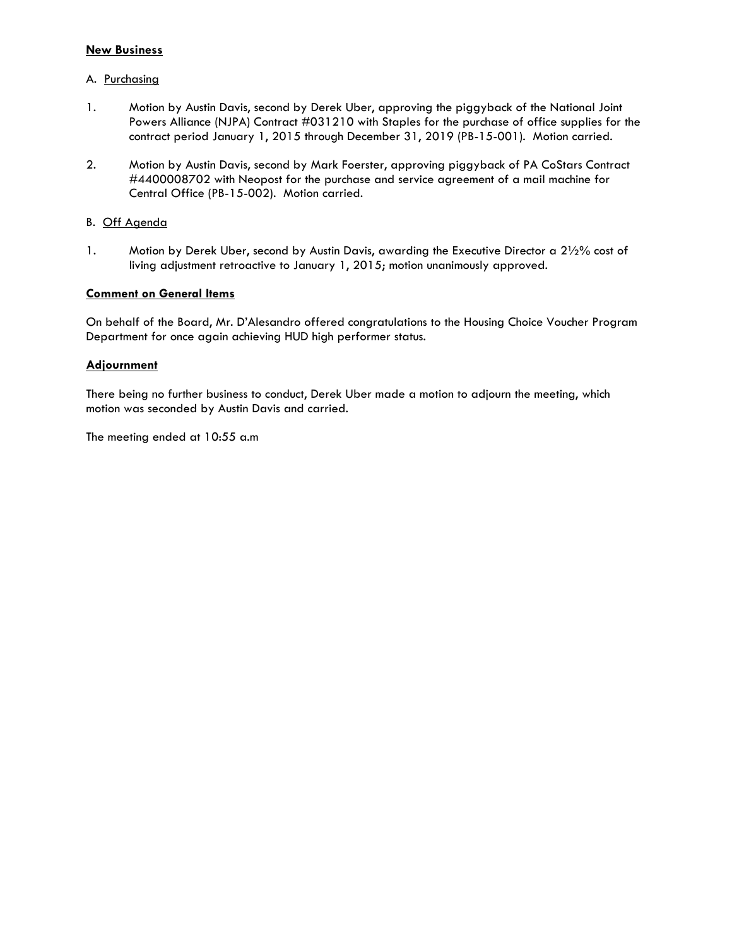## **New Business**

## A. Purchasing

- 1. Motion by Austin Davis, second by Derek Uber, approving the piggyback of the National Joint Powers Alliance (NJPA) Contract #031210 with Staples for the purchase of office supplies for the contract period January 1, 2015 through December 31, 2019 (PB-15-001). Motion carried.
- 2. Motion by Austin Davis, second by Mark Foerster, approving piggyback of PA CoStars Contract #4400008702 with Neopost for the purchase and service agreement of a mail machine for Central Office (PB-15-002). Motion carried.

## B. Off Agenda

1. Motion by Derek Uber, second by Austin Davis, awarding the Executive Director a 21/2% cost of living adjustment retroactive to January 1, 2015; motion unanimously approved.

## **Comment on General Items**

On behalf of the Board, Mr. D'Alesandro offered congratulations to the Housing Choice Voucher Program Department for once again achieving HUD high performer status.

## **Adjournment**

There being no further business to conduct, Derek Uber made a motion to adjourn the meeting, which motion was seconded by Austin Davis and carried.

The meeting ended at 10:55 a.m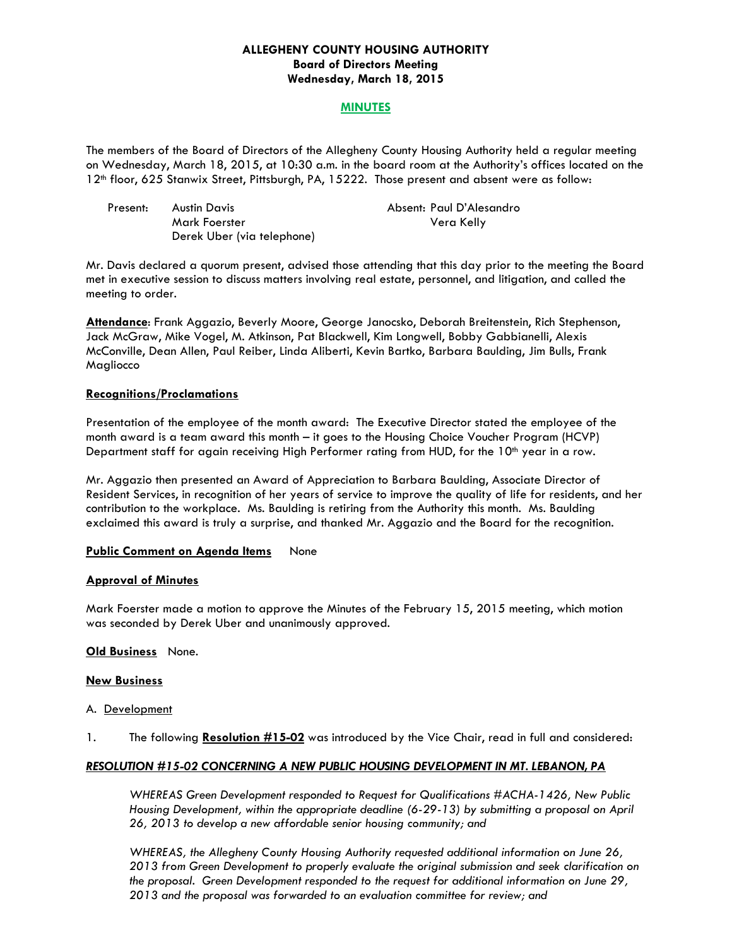### **ALLEGHENY COUNTY HOUSING AUTHORITY Board of Directors Meeting Wednesday, March 18, 2015**

### **MINUTES**

The members of the Board of Directors of the Allegheny County Housing Authority held a regular meeting on Wednesday, March 18, 2015, at 10:30 a.m. in the board room at the Authority's offices located on the 12th floor, 625 Stanwix Street, Pittsburgh, PA, 15222. Those present and absent were as follow:

| Present: | Austin Davis               | Absent: Paul D'Alesandro |
|----------|----------------------------|--------------------------|
|          | Mark Foerster              | Vera Kelly               |
|          | Derek Uber (via telephone) |                          |

Mr. Davis declared a quorum present, advised those attending that this day prior to the meeting the Board met in executive session to discuss matters involving real estate, personnel, and litigation, and called the meeting to order.

**Attendance**: Frank Aggazio, Beverly Moore, George Janocsko, Deborah Breitenstein, Rich Stephenson, Jack McGraw, Mike Vogel, M. Atkinson, Pat Blackwell, Kim Longwell, Bobby Gabbianelli, Alexis McConville, Dean Allen, Paul Reiber, Linda Aliberti, Kevin Bartko, Barbara Baulding, Jim Bulls, Frank Magliocco

#### **Recognitions/Proclamations**

Presentation of the employee of the month award: The Executive Director stated the employee of the month award is a team award this month – it goes to the Housing Choice Voucher Program (HCVP) Department staff for again receiving High Performer rating from HUD, for the 10<sup>th</sup> year in a row.

Mr. Aggazio then presented an Award of Appreciation to Barbara Baulding, Associate Director of Resident Services, in recognition of her years of service to improve the quality of life for residents, and her contribution to the workplace. Ms. Baulding is retiring from the Authority this month. Ms. Baulding exclaimed this award is truly a surprise, and thanked Mr. Aggazio and the Board for the recognition.

### **Public Comment on Agenda Items** None

#### **Approval of Minutes**

Mark Foerster made a motion to approve the Minutes of the February 15, 2015 meeting, which motion was seconded by Derek Uber and unanimously approved.

#### **Old Business** None.

#### **New Business**

- A. Development
- 1. The following **Resolution #15-02** was introduced by the Vice Chair, read in full and considered:

### *RESOLUTION #15-02 CONCERNING A NEW PUBLIC HOUSING DEVELOPMENT IN MT. LEBANON, PA*

 *WHEREAS Green Development responded to Request for Qualifications #ACHA-1426, New Public Housing Development, within the appropriate deadline (6-29-13) by submitting a proposal on April 26, 2013 to develop a new affordable senior housing community; and* 

 *WHEREAS, the Allegheny County Housing Authority requested additional information on June 26, 2013 from Green Development to properly evaluate the original submission and seek clarification on the proposal. Green Development responded to the request for additional information on June 29, 2013 and the proposal was forwarded to an evaluation committee for review; and*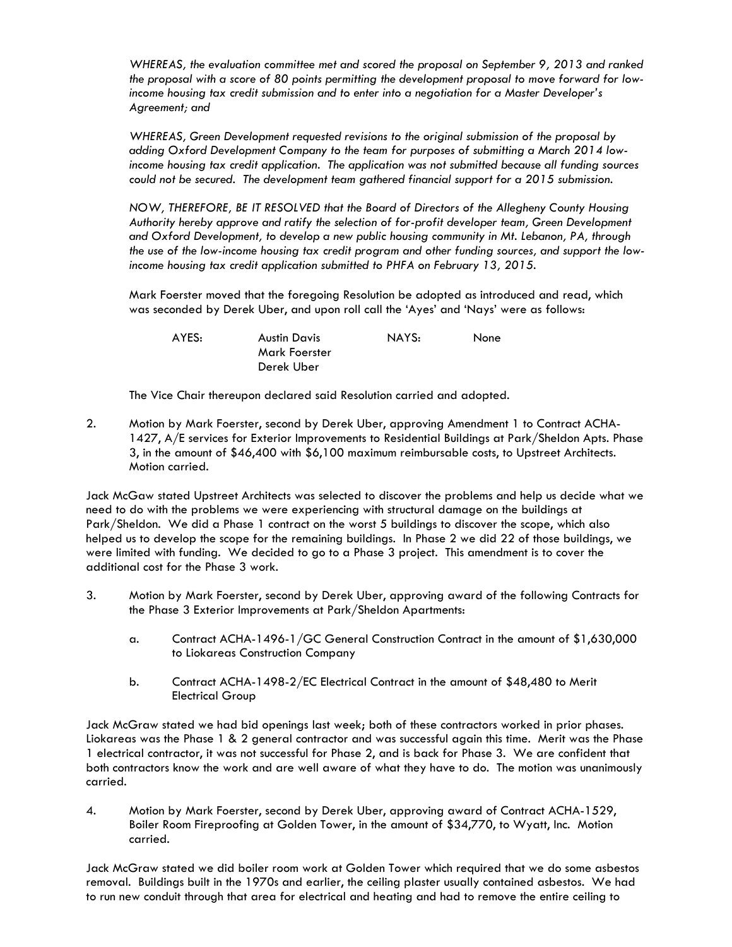*WHEREAS, the evaluation committee met and scored the proposal on September 9, 2013 and ranked the proposal with a score of 80 points permitting the development proposal to move forward for lowincome housing tax credit submission and to enter into a negotiation for a Master Developer's Agreement; and* 

 *WHEREAS, Green Development requested revisions to the original submission of the proposal by adding Oxford Development Company to the team for purposes of submitting a March 2014 lowincome housing tax credit application. The application was not submitted because all funding sources could not be secured. The development team gathered financial support for a 2015 submission.* 

 *NOW, THEREFORE, BE IT RESOLVED that the Board of Directors of the Allegheny County Housing Authority hereby approve and ratify the selection of for-profit developer team, Green Development and Oxford Development, to develop a new public housing community in Mt. Lebanon, PA, through the use of the low-income housing tax credit program and other funding sources, and support the lowincome housing tax credit application submitted to PHFA on February 13, 2015.* 

Mark Foerster moved that the foregoing Resolution be adopted as introduced and read, which was seconded by Derek Uber, and upon roll call the 'Ayes' and 'Nays' were as follows:

| AYES: | <b>Austin Davis</b> | NAYS: | None |
|-------|---------------------|-------|------|
|       | Mark Foerster       |       |      |
|       | Derek Uber          |       |      |

The Vice Chair thereupon declared said Resolution carried and adopted.

2. Motion by Mark Foerster, second by Derek Uber, approving Amendment 1 to Contract ACHA-1427, A/E services for Exterior Improvements to Residential Buildings at Park/Sheldon Apts. Phase 3, in the amount of \$46,400 with \$6,100 maximum reimbursable costs, to Upstreet Architects. Motion carried.

Jack McGaw stated Upstreet Architects was selected to discover the problems and help us decide what we need to do with the problems we were experiencing with structural damage on the buildings at Park/Sheldon. We did a Phase 1 contract on the worst 5 buildings to discover the scope, which also helped us to develop the scope for the remaining buildings. In Phase 2 we did 22 of those buildings, we were limited with funding. We decided to go to a Phase 3 project. This amendment is to cover the additional cost for the Phase 3 work.

- 3. Motion by Mark Foerster, second by Derek Uber, approving award of the following Contracts for the Phase 3 Exterior Improvements at Park/Sheldon Apartments:
	- a. Contract ACHA-1496-1/GC General Construction Contract in the amount of \$1,630,000 to Liokareas Construction Company
	- b. Contract ACHA-1498-2/EC Electrical Contract in the amount of \$48,480 to Merit Electrical Group

Jack McGraw stated we had bid openings last week; both of these contractors worked in prior phases. Liokareas was the Phase 1 & 2 general contractor and was successful again this time. Merit was the Phase 1 electrical contractor, it was not successful for Phase 2, and is back for Phase 3. We are confident that both contractors know the work and are well aware of what they have to do. The motion was unanimously carried.

4. Motion by Mark Foerster, second by Derek Uber, approving award of Contract ACHA-1529, Boiler Room Fireproofing at Golden Tower, in the amount of \$34,770, to Wyatt, Inc. Motion carried.

Jack McGraw stated we did boiler room work at Golden Tower which required that we do some asbestos removal. Buildings built in the 1970s and earlier, the ceiling plaster usually contained asbestos. We had to run new conduit through that area for electrical and heating and had to remove the entire ceiling to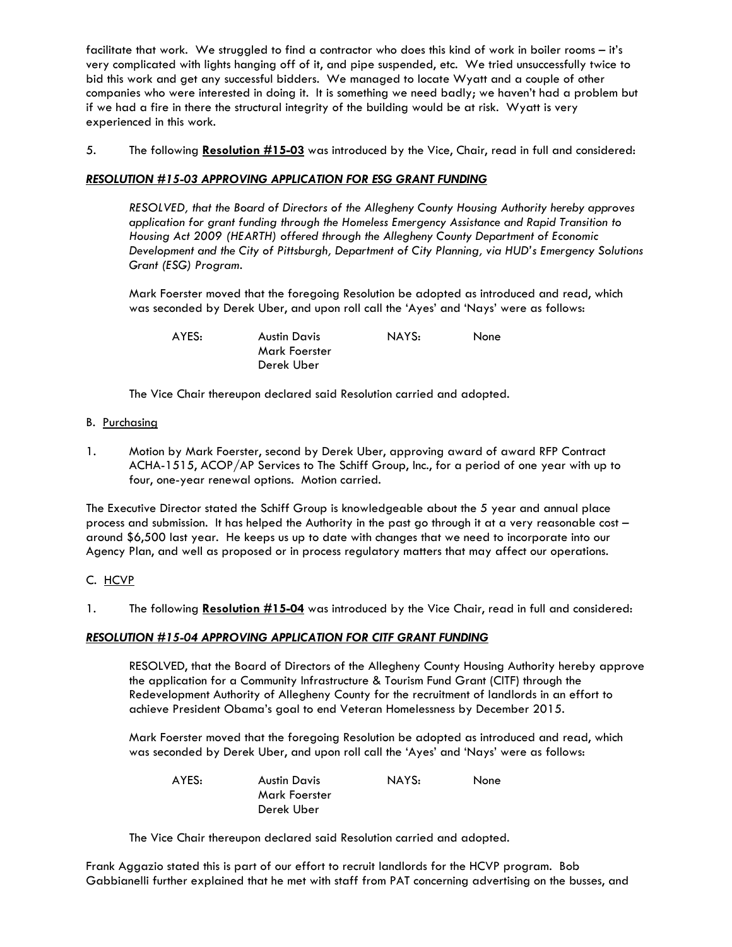facilitate that work. We struggled to find a contractor who does this kind of work in boiler rooms – it's very complicated with lights hanging off of it, and pipe suspended, etc. We tried unsuccessfully twice to bid this work and get any successful bidders. We managed to locate Wyatt and a couple of other companies who were interested in doing it. It is something we need badly; we haven't had a problem but if we had a fire in there the structural integrity of the building would be at risk. Wyatt is very experienced in this work.

5. The following **Resolution #15-03** was introduced by the Vice, Chair, read in full and considered:

## *RESOLUTION #15-03 APPROVING APPLICATION FOR ESG GRANT FUNDING*

 *RESOLVED, that the Board of Directors of the Allegheny County Housing Authority hereby approves application for grant funding through the Homeless Emergency Assistance and Rapid Transition to Housing Act 2009 (HEARTH) offered through the Allegheny County Department of Economic Development and the City of Pittsburgh, Department of City Planning, via HUD's Emergency Solutions Grant (ESG) Program.* 

Mark Foerster moved that the foregoing Resolution be adopted as introduced and read, which was seconded by Derek Uber, and upon roll call the 'Ayes' and 'Nays' were as follows:

AYES: Austin Davis NAYS: None

The Vice Chair thereupon declared said Resolution carried and adopted.

Mark Foerster Derek Uber

- B. Purchasing
- 1. Motion by Mark Foerster, second by Derek Uber, approving award of award RFP Contract ACHA-1515, ACOP/AP Services to The Schiff Group, Inc., for a period of one year with up to four, one-year renewal options. Motion carried.

The Executive Director stated the Schiff Group is knowledgeable about the 5 year and annual place process and submission. It has helped the Authority in the past go through it at a very reasonable cost – around \$6,500 last year. He keeps us up to date with changes that we need to incorporate into our Agency Plan, and well as proposed or in process regulatory matters that may affect our operations.

# C. HCVP

1. The following **Resolution #15-04** was introduced by the Vice Chair, read in full and considered:

# *RESOLUTION #15-04 APPROVING APPLICATION FOR CITF GRANT FUNDING*

 RESOLVED, that the Board of Directors of the Allegheny County Housing Authority hereby approve the application for a Community Infrastructure & Tourism Fund Grant (CITF) through the Redevelopment Authority of Allegheny County for the recruitment of landlords in an effort to achieve President Obama's goal to end Veteran Homelessness by December 2015.

Mark Foerster moved that the foregoing Resolution be adopted as introduced and read, which was seconded by Derek Uber, and upon roll call the 'Ayes' and 'Nays' were as follows:

 AYES: Austin Davis NAYS: None Mark Foerster Derek Uber

The Vice Chair thereupon declared said Resolution carried and adopted.

Frank Aggazio stated this is part of our effort to recruit landlords for the HCVP program. Bob Gabbianelli further explained that he met with staff from PAT concerning advertising on the busses, and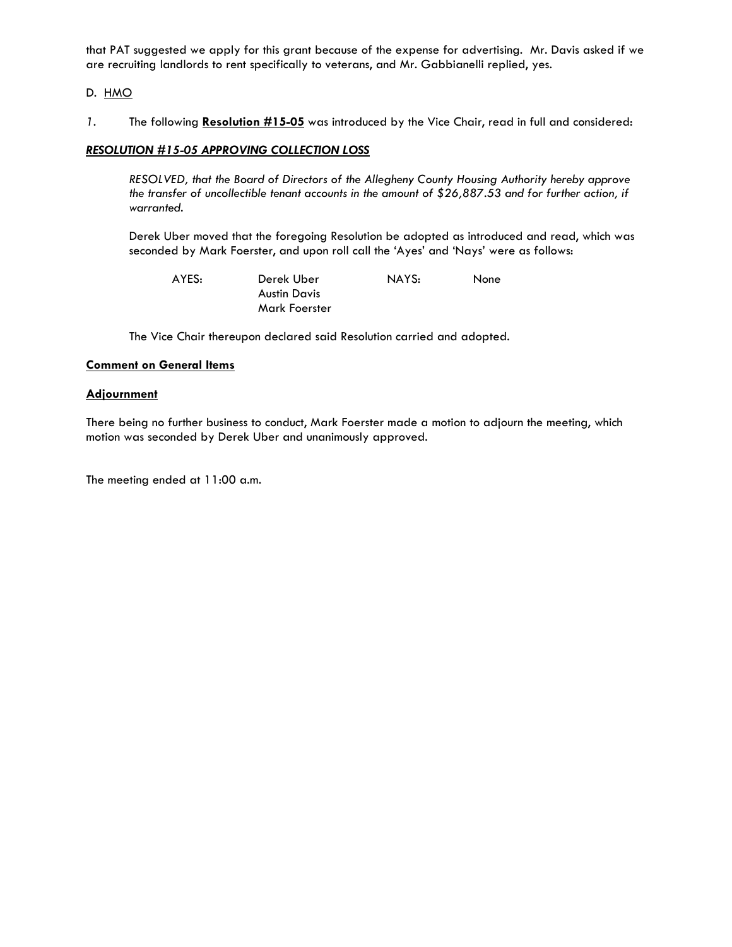that PAT suggested we apply for this grant because of the expense for advertising. Mr. Davis asked if we are recruiting landlords to rent specifically to veterans, and Mr. Gabbianelli replied, yes.

D. HMO

*1.* The following **Resolution #15-05** was introduced by the Vice Chair, read in full and considered:

### *RESOLUTION #15-05 APPROVING COLLECTION LOSS*

 *RESOLVED, that the Board of Directors of the Allegheny County Housing Authority hereby approve the transfer of uncollectible tenant accounts in the amount of \$26,887.53 and for further action, if warranted.* 

Derek Uber moved that the foregoing Resolution be adopted as introduced and read, which was seconded by Mark Foerster, and upon roll call the 'Ayes' and 'Nays' were as follows:

| AYES: | Derek Uber    | NAYS: | None |
|-------|---------------|-------|------|
|       | Austin Davis  |       |      |
|       | Mark Foerster |       |      |

The Vice Chair thereupon declared said Resolution carried and adopted*.* 

### **Comment on General Items**

#### **Adjournment**

There being no further business to conduct, Mark Foerster made a motion to adjourn the meeting, which motion was seconded by Derek Uber and unanimously approved.

The meeting ended at 11:00 a.m.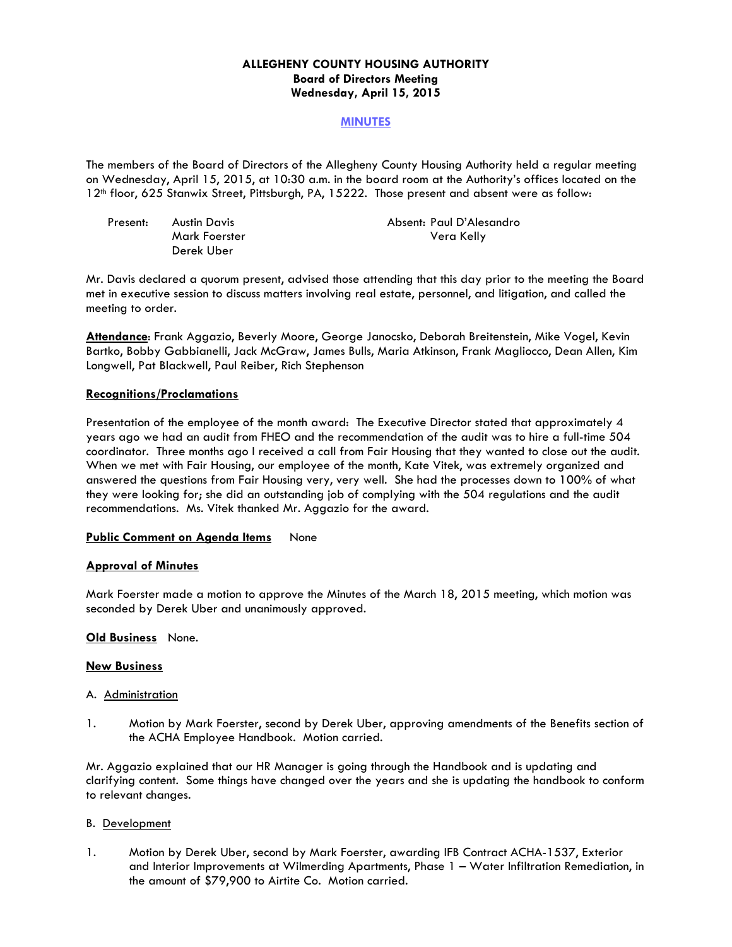## **ALLEGHENY COUNTY HOUSING AUTHORITY Board of Directors Meeting Wednesday, April 15, 2015**

### **MINUTES**

The members of the Board of Directors of the Allegheny County Housing Authority held a regular meeting on Wednesday, April 15, 2015, at 10:30 a.m. in the board room at the Authority's offices located on the 12th floor, 625 Stanwix Street, Pittsburgh, PA, 15222. Those present and absent were as follow:

| Present: | Austin Davis  | Absent: Paul D'Alesandro |
|----------|---------------|--------------------------|
|          | Mark Foerster | Vera Kelly               |
|          | Derek Uber    |                          |

Mr. Davis declared a quorum present, advised those attending that this day prior to the meeting the Board met in executive session to discuss matters involving real estate, personnel, and litigation, and called the meeting to order.

**Attendance**: Frank Aggazio, Beverly Moore, George Janocsko, Deborah Breitenstein, Mike Vogel, Kevin Bartko, Bobby Gabbianelli, Jack McGraw, James Bulls, Maria Atkinson, Frank Magliocco, Dean Allen, Kim Longwell, Pat Blackwell, Paul Reiber, Rich Stephenson

### **Recognitions/Proclamations**

Presentation of the employee of the month award: The Executive Director stated that approximately 4 years ago we had an audit from FHEO and the recommendation of the audit was to hire a full-time 504 coordinator. Three months ago I received a call from Fair Housing that they wanted to close out the audit. When we met with Fair Housing, our employee of the month, Kate Vitek, was extremely organized and answered the questions from Fair Housing very, very well. She had the processes down to 100% of what they were looking for; she did an outstanding job of complying with the 504 regulations and the audit recommendations. Ms. Vitek thanked Mr. Aggazio for the award.

### **Public Comment on Agenda Items** None

#### **Approval of Minutes**

Mark Foerster made a motion to approve the Minutes of the March 18, 2015 meeting, which motion was seconded by Derek Uber and unanimously approved.

#### **Old Business** None.

#### **New Business**

#### A. Administration

1. Motion by Mark Foerster, second by Derek Uber, approving amendments of the Benefits section of the ACHA Employee Handbook. Motion carried.

Mr. Aggazio explained that our HR Manager is going through the Handbook and is updating and clarifying content. Some things have changed over the years and she is updating the handbook to conform to relevant changes.

#### B. Development

1. Motion by Derek Uber, second by Mark Foerster, awarding IFB Contract ACHA-1537, Exterior and Interior Improvements at Wilmerding Apartments, Phase 1 – Water Infiltration Remediation, in the amount of \$79,900 to Airtite Co. Motion carried.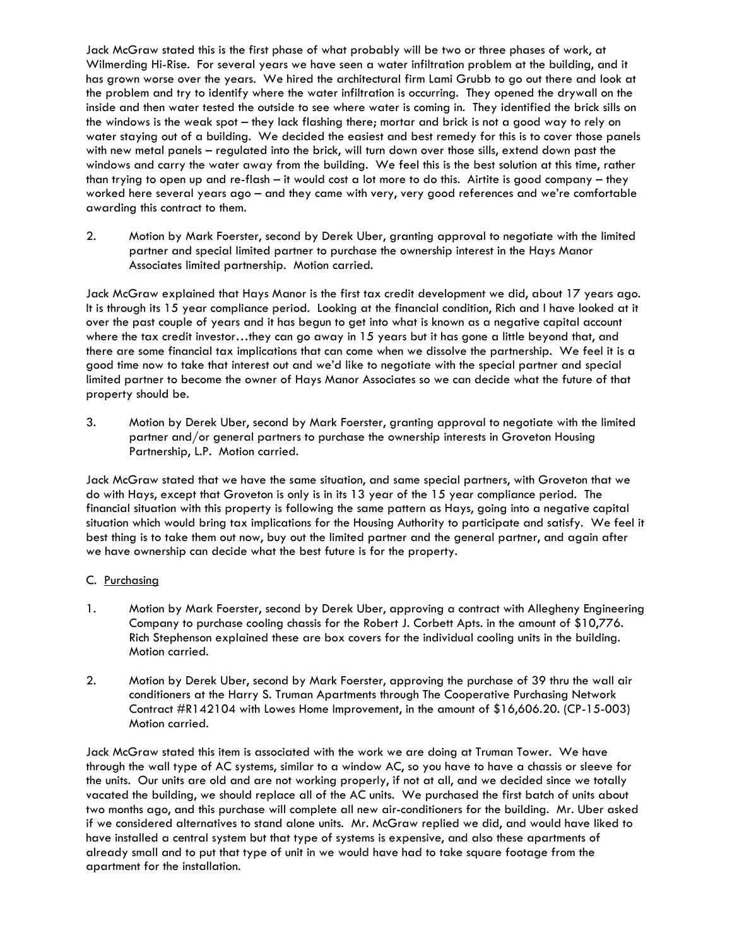Jack McGraw stated this is the first phase of what probably will be two or three phases of work, at Wilmerding Hi-Rise. For several years we have seen a water infiltration problem at the building, and it has grown worse over the years. We hired the architectural firm Lami Grubb to go out there and look at the problem and try to identify where the water infiltration is occurring. They opened the drywall on the inside and then water tested the outside to see where water is coming in. They identified the brick sills on the windows is the weak spot – they lack flashing there; mortar and brick is not a good way to rely on water staying out of a building. We decided the easiest and best remedy for this is to cover those panels with new metal panels – regulated into the brick, will turn down over those sills, extend down past the windows and carry the water away from the building. We feel this is the best solution at this time, rather than trying to open up and re-flash – it would cost a lot more to do this. Airtite is good company – they worked here several years ago – and they came with very, very good references and we're comfortable awarding this contract to them.

2. Motion by Mark Foerster, second by Derek Uber, granting approval to negotiate with the limited partner and special limited partner to purchase the ownership interest in the Hays Manor Associates limited partnership. Motion carried.

Jack McGraw explained that Hays Manor is the first tax credit development we did, about 17 years ago. It is through its 15 year compliance period. Looking at the financial condition, Rich and I have looked at it over the past couple of years and it has begun to get into what is known as a negative capital account where the tax credit investor…they can go away in 15 years but it has gone a little beyond that, and there are some financial tax implications that can come when we dissolve the partnership. We feel it is a good time now to take that interest out and we'd like to negotiate with the special partner and special limited partner to become the owner of Hays Manor Associates so we can decide what the future of that property should be.

3. Motion by Derek Uber, second by Mark Foerster, granting approval to negotiate with the limited partner and/or general partners to purchase the ownership interests in Groveton Housing Partnership, L.P. Motion carried.

Jack McGraw stated that we have the same situation, and same special partners, with Groveton that we do with Hays, except that Groveton is only is in its 13 year of the 15 year compliance period. The financial situation with this property is following the same pattern as Hays, going into a negative capital situation which would bring tax implications for the Housing Authority to participate and satisfy. We feel it best thing is to take them out now, buy out the limited partner and the general partner, and again after we have ownership can decide what the best future is for the property.

### C. Purchasing

- 1. Motion by Mark Foerster, second by Derek Uber, approving a contract with Allegheny Engineering Company to purchase cooling chassis for the Robert J. Corbett Apts. in the amount of \$10,776. Rich Stephenson explained these are box covers for the individual cooling units in the building. Motion carried.
- 2. Motion by Derek Uber, second by Mark Foerster, approving the purchase of 39 thru the wall air conditioners at the Harry S. Truman Apartments through The Cooperative Purchasing Network Contract #R142104 with Lowes Home Improvement, in the amount of \$16,606.20. (CP-15-003) Motion carried.

Jack McGraw stated this item is associated with the work we are doing at Truman Tower. We have through the wall type of AC systems, similar to a window AC, so you have to have a chassis or sleeve for the units. Our units are old and are not working properly, if not at all, and we decided since we totally vacated the building, we should replace all of the AC units. We purchased the first batch of units about two months ago, and this purchase will complete all new air-conditioners for the building. Mr. Uber asked if we considered alternatives to stand alone units. Mr. McGraw replied we did, and would have liked to have installed a central system but that type of systems is expensive, and also these apartments of already small and to put that type of unit in we would have had to take square footage from the apartment for the installation.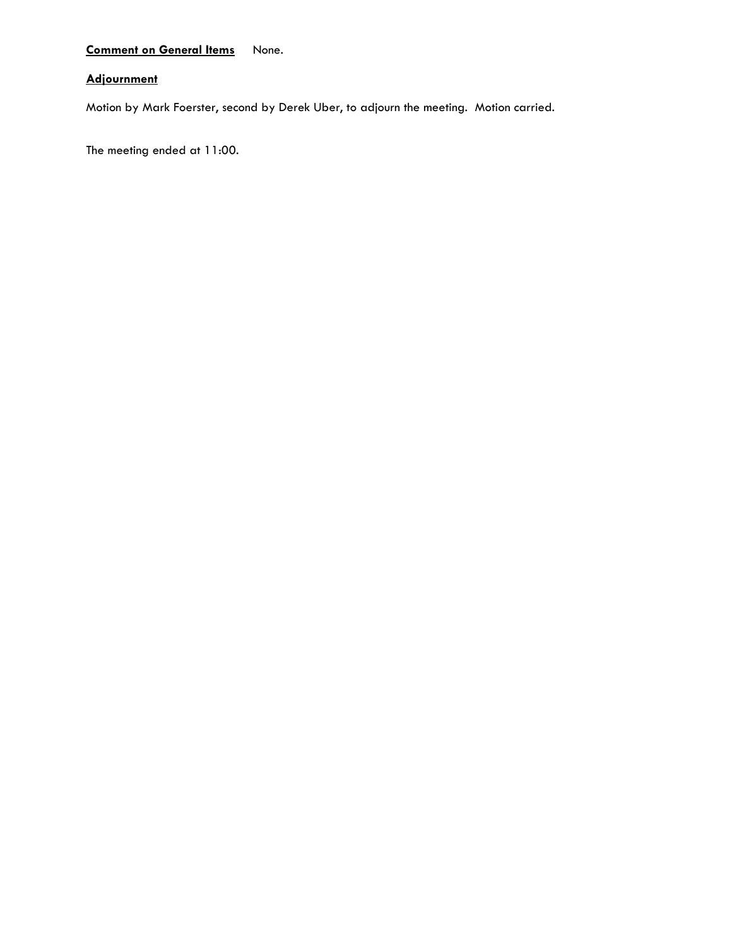# **Comment on General Items** None.

# **Adjournment**

Motion by Mark Foerster, second by Derek Uber, to adjourn the meeting. Motion carried.

The meeting ended at 11:00.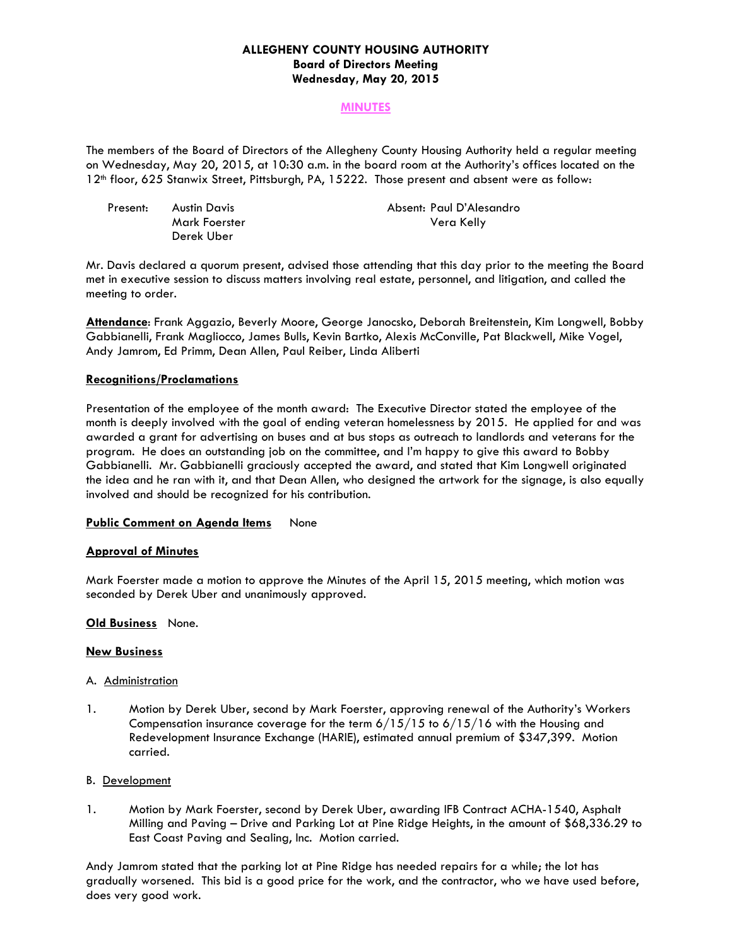### **ALLEGHENY COUNTY HOUSING AUTHORITY Board of Directors Meeting Wednesday, May 20, 2015**

### **MINUTES**

The members of the Board of Directors of the Allegheny County Housing Authority held a regular meeting on Wednesday, May 20, 2015, at 10:30 a.m. in the board room at the Authority's offices located on the 12th floor, 625 Stanwix Street, Pittsburgh, PA, 15222. Those present and absent were as follow:

| Present: | Austin Davis  | Absent: Paul D'Alesandro |
|----------|---------------|--------------------------|
|          | Mark Foerster | Vera Kelly               |
|          | Derek Uber    |                          |

Mr. Davis declared a quorum present, advised those attending that this day prior to the meeting the Board met in executive session to discuss matters involving real estate, personnel, and litigation, and called the meeting to order.

**Attendance**: Frank Aggazio, Beverly Moore, George Janocsko, Deborah Breitenstein, Kim Longwell, Bobby Gabbianelli, Frank Magliocco, James Bulls, Kevin Bartko, Alexis McConville, Pat Blackwell, Mike Vogel, Andy Jamrom, Ed Primm, Dean Allen, Paul Reiber, Linda Aliberti

#### **Recognitions/Proclamations**

Presentation of the employee of the month award: The Executive Director stated the employee of the month is deeply involved with the goal of ending veteran homelessness by 2015. He applied for and was awarded a grant for advertising on buses and at bus stops as outreach to landlords and veterans for the program. He does an outstanding job on the committee, and I'm happy to give this award to Bobby Gabbianelli. Mr. Gabbianelli graciously accepted the award, and stated that Kim Longwell originated the idea and he ran with it, and that Dean Allen, who designed the artwork for the signage, is also equally involved and should be recognized for his contribution.

### **Public Comment on Agenda Items** None

#### **Approval of Minutes**

Mark Foerster made a motion to approve the Minutes of the April 15, 2015 meeting, which motion was seconded by Derek Uber and unanimously approved.

### **Old Business** None.

#### **New Business**

#### A. Administration

1. Motion by Derek Uber, second by Mark Foerster, approving renewal of the Authority's Workers Compensation insurance coverage for the term  $6/15/15$  to  $6/15/16$  with the Housing and Redevelopment Insurance Exchange (HARIE), estimated annual premium of \$347,399. Motion carried.

### B. Development

1. Motion by Mark Foerster, second by Derek Uber, awarding IFB Contract ACHA-1540, Asphalt Milling and Paving – Drive and Parking Lot at Pine Ridge Heights, in the amount of \$68,336.29 to East Coast Paving and Sealing, Inc. Motion carried.

Andy Jamrom stated that the parking lot at Pine Ridge has needed repairs for a while; the lot has gradually worsened. This bid is a good price for the work, and the contractor, who we have used before, does very good work.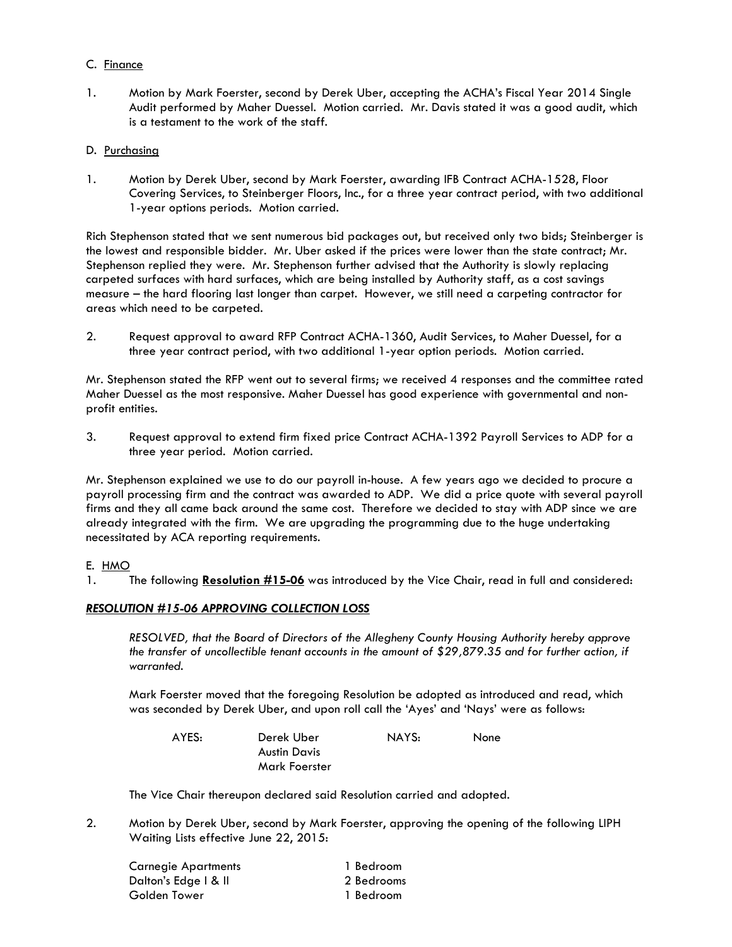### C. Finance

1. Motion by Mark Foerster, second by Derek Uber, accepting the ACHA's Fiscal Year 2014 Single Audit performed by Maher Duessel. Motion carried. Mr. Davis stated it was a good audit, which is a testament to the work of the staff.

## D. Purchasing

1. Motion by Derek Uber, second by Mark Foerster, awarding IFB Contract ACHA-1528, Floor Covering Services, to Steinberger Floors, Inc., for a three year contract period, with two additional 1-year options periods. Motion carried.

Rich Stephenson stated that we sent numerous bid packages out, but received only two bids; Steinberger is the lowest and responsible bidder. Mr. Uber asked if the prices were lower than the state contract; Mr. Stephenson replied they were. Mr. Stephenson further advised that the Authority is slowly replacing carpeted surfaces with hard surfaces, which are being installed by Authority staff, as a cost savings measure – the hard flooring last longer than carpet. However, we still need a carpeting contractor for areas which need to be carpeted.

2. Request approval to award RFP Contract ACHA-1360, Audit Services, to Maher Duessel, for a three year contract period, with two additional 1-year option periods. Motion carried.

Mr. Stephenson stated the RFP went out to several firms; we received 4 responses and the committee rated Maher Duessel as the most responsive. Maher Duessel has good experience with governmental and nonprofit entities.

3. Request approval to extend firm fixed price Contract ACHA-1392 Payroll Services to ADP for a three year period. Motion carried.

Mr. Stephenson explained we use to do our payroll in-house. A few years ago we decided to procure a payroll processing firm and the contract was awarded to ADP. We did a price quote with several payroll firms and they all came back around the same cost. Therefore we decided to stay with ADP since we are already integrated with the firm. We are upgrading the programming due to the huge undertaking necessitated by ACA reporting requirements.

# E. HMO

1*.* The following **Resolution #15-06** was introduced by the Vice Chair, read in full and considered:

# *RESOLUTION #15-06 APPROVING COLLECTION LOSS*

 *RESOLVED, that the Board of Directors of the Allegheny County Housing Authority hereby approve the transfer of uncollectible tenant accounts in the amount of \$29,879.35 and for further action, if warranted.* 

Mark Foerster moved that the foregoing Resolution be adopted as introduced and read, which was seconded by Derek Uber, and upon roll call the 'Ayes' and 'Nays' were as follows:

| AYES: | Derek Uber    | NAYS: | None |
|-------|---------------|-------|------|
|       | Austin Davis  |       |      |
|       | Mark Foerster |       |      |

The Vice Chair thereupon declared said Resolution carried and adopted*.* 

2. Motion by Derek Uber, second by Mark Foerster, approving the opening of the following LIPH Waiting Lists effective June 22, 2015:

| Carnegie Apartments  | 1 Bedroom  |
|----------------------|------------|
| Dalton's Edge I & II | 2 Bedrooms |
| Golden Tower         | 1 Bedroom  |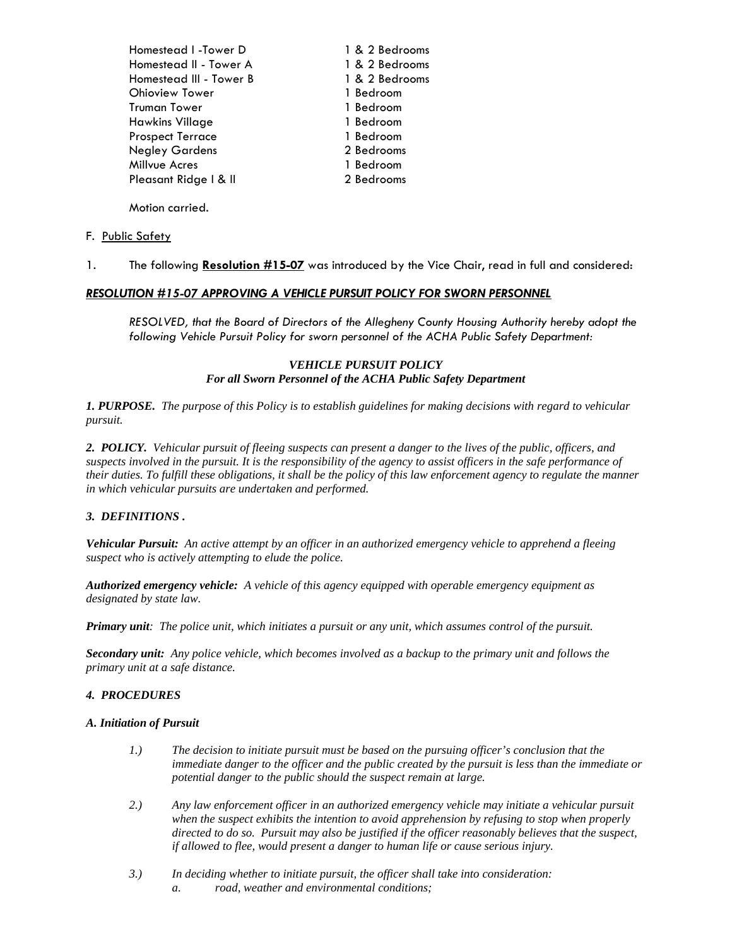Homestead I -Tower D 1 & 2 Bedrooms Homestead II - Tower A 1 & 2 Bedrooms Homestead III - Tower B 1 & 2 Bedrooms Ohioview Tower 1 Bedroom Truman Tower 1 Bedroom Hawkins Village 1 Bedroom Prospect Terrace 1 Bedroom Negley Gardens 2 Bedrooms Millvue Acres 1 Bedroom Pleasant Ridge | & II 2 Bedrooms

Motion carried.

#### F. Public Safety

1*.* The following **Resolution #15-07** was introduced by the Vice Chair, read in full and considered:

#### *RESOLUTION #15-07 APPROVING A VEHICLE PURSUIT POLICY FOR SWORN PERSONNEL*

 *RESOLVED, that the Board of Directors of the Allegheny County Housing Authority hereby adopt the following Vehicle Pursuit Policy for sworn personnel of the ACHA Public Safety Department:* 

#### *VEHICLE PURSUIT POLICY For all Sworn Personnel of the ACHA Public Safety Department*

*1. PURPOSE. The purpose of this Policy is to establish guidelines for making decisions with regard to vehicular pursuit.* 

*2. POLICY. Vehicular pursuit of fleeing suspects can present a danger to the lives of the public, officers, and suspects involved in the pursuit. It is the responsibility of the agency to assist officers in the safe performance of their duties. To fulfill these obligations, it shall be the policy of this law enforcement agency to regulate the manner in which vehicular pursuits are undertaken and performed.* 

#### *3. DEFINITIONS .*

*Vehicular Pursuit: An active attempt by an officer in an authorized emergency vehicle to apprehend a fleeing suspect who is actively attempting to elude the police.* 

*Authorized emergency vehicle: A vehicle of this agency equipped with operable emergency equipment as designated by state law.* 

*Primary unit: The police unit, which initiates a pursuit or any unit, which assumes control of the pursuit.* 

*Secondary unit: Any police vehicle, which becomes involved as a backup to the primary unit and follows the primary unit at a safe distance.* 

#### *4. PROCEDURES*

#### *A. Initiation of Pursuit*

- *1.) The decision to initiate pursuit must be based on the pursuing officer's conclusion that the immediate danger to the officer and the public created by the pursuit is less than the immediate or potential danger to the public should the suspect remain at large.*
- *2.) Any law enforcement officer in an authorized emergency vehicle may initiate a vehicular pursuit when the suspect exhibits the intention to avoid apprehension by refusing to stop when properly directed to do so. Pursuit may also be justified if the officer reasonably believes that the suspect, if allowed to flee, would present a danger to human life or cause serious injury.*
- *3.) In deciding whether to initiate pursuit, the officer shall take into consideration: a. road, weather and environmental conditions;*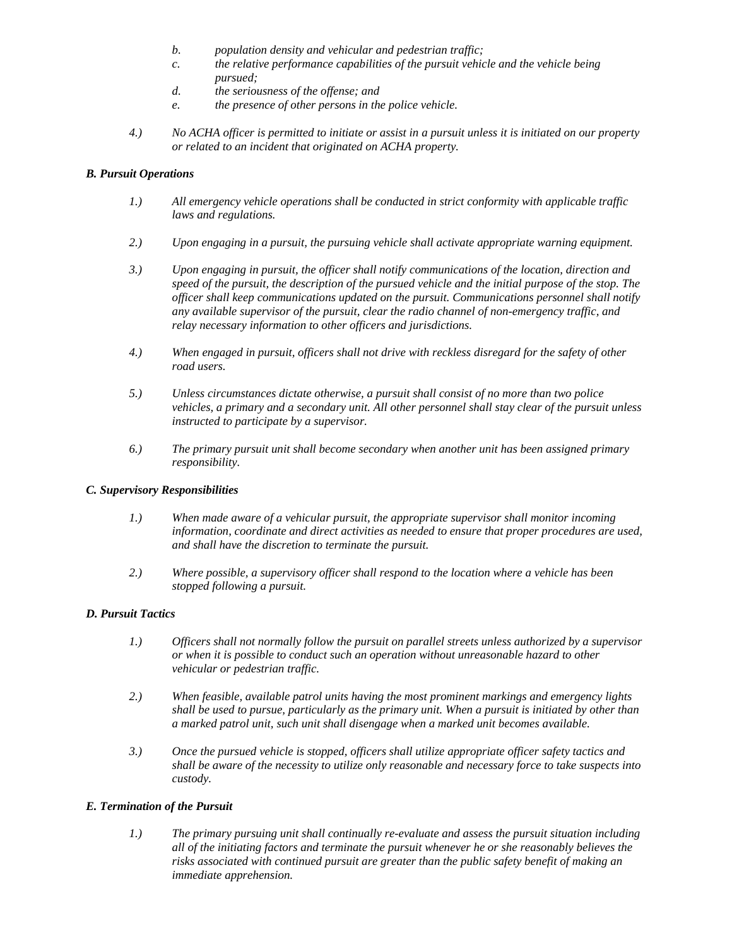- *b. population density and vehicular and pedestrian traffic;*
- *c. the relative performance capabilities of the pursuit vehicle and the vehicle being pursued;*
- *d. the seriousness of the offense; and*
- *e. the presence of other persons in the police vehicle.*
- *4.) No ACHA officer is permitted to initiate or assist in a pursuit unless it is initiated on our property or related to an incident that originated on ACHA property.*

### *B. Pursuit Operations*

- *1.) All emergency vehicle operations shall be conducted in strict conformity with applicable traffic laws and regulations.*
- *2.) Upon engaging in a pursuit, the pursuing vehicle shall activate appropriate warning equipment.*
- *3.) Upon engaging in pursuit, the officer shall notify communications of the location, direction and speed of the pursuit, the description of the pursued vehicle and the initial purpose of the stop. The officer shall keep communications updated on the pursuit. Communications personnel shall notify any available supervisor of the pursuit, clear the radio channel of non-emergency traffic, and relay necessary information to other officers and jurisdictions.*
- *4.) When engaged in pursuit, officers shall not drive with reckless disregard for the safety of other road users.*
- *5.) Unless circumstances dictate otherwise, a pursuit shall consist of no more than two police vehicles, a primary and a secondary unit. All other personnel shall stay clear of the pursuit unless instructed to participate by a supervisor.*
- *6.) The primary pursuit unit shall become secondary when another unit has been assigned primary responsibility.*

#### *C. Supervisory Responsibilities*

- *1.) When made aware of a vehicular pursuit, the appropriate supervisor shall monitor incoming information, coordinate and direct activities as needed to ensure that proper procedures are used, and shall have the discretion to terminate the pursuit.*
- *2.) Where possible, a supervisory officer shall respond to the location where a vehicle has been stopped following a pursuit.*

### *D. Pursuit Tactics*

- *1.) Officers shall not normally follow the pursuit on parallel streets unless authorized by a supervisor or when it is possible to conduct such an operation without unreasonable hazard to other vehicular or pedestrian traffic.*
- *2.) When feasible, available patrol units having the most prominent markings and emergency lights shall be used to pursue, particularly as the primary unit. When a pursuit is initiated by other than a marked patrol unit, such unit shall disengage when a marked unit becomes available.*
- *3.) Once the pursued vehicle is stopped, officers shall utilize appropriate officer safety tactics and shall be aware of the necessity to utilize only reasonable and necessary force to take suspects into custody.*

### *E. Termination of the Pursuit*

*1.) The primary pursuing unit shall continually re-evaluate and assess the pursuit situation including all of the initiating factors and terminate the pursuit whenever he or she reasonably believes the risks associated with continued pursuit are greater than the public safety benefit of making an immediate apprehension.*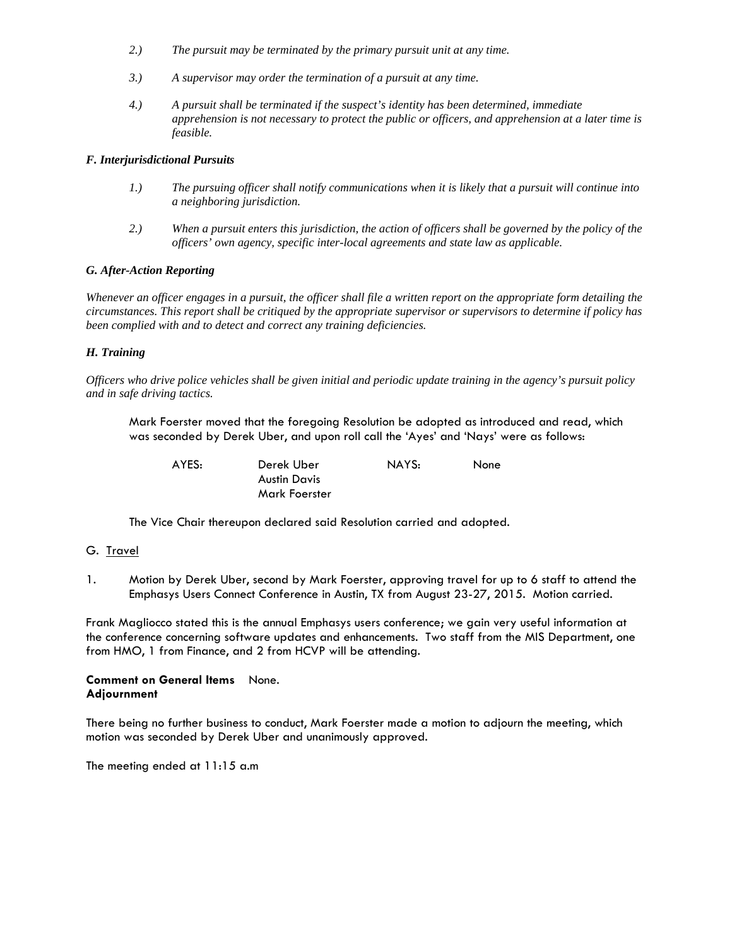- *2.) The pursuit may be terminated by the primary pursuit unit at any time.*
- *3.) A supervisor may order the termination of a pursuit at any time.*
- *4.) A pursuit shall be terminated if the suspect's identity has been determined, immediate apprehension is not necessary to protect the public or officers, and apprehension at a later time is feasible.*

#### *F. Interjurisdictional Pursuits*

- *1.) The pursuing officer shall notify communications when it is likely that a pursuit will continue into a neighboring jurisdiction.*
- *2.) When a pursuit enters this jurisdiction, the action of officers shall be governed by the policy of the officers' own agency, specific inter-local agreements and state law as applicable.*

#### *G. After-Action Reporting*

*Whenever an officer engages in a pursuit, the officer shall file a written report on the appropriate form detailing the circumstances. This report shall be critiqued by the appropriate supervisor or supervisors to determine if policy has been complied with and to detect and correct any training deficiencies.* 

#### *H. Training*

*Officers who drive police vehicles shall be given initial and periodic update training in the agency's pursuit policy and in safe driving tactics.* 

Mark Foerster moved that the foregoing Resolution be adopted as introduced and read, which was seconded by Derek Uber, and upon roll call the 'Ayes' and 'Nays' were as follows:

| AYES: | Derek Uber    | NAYS: | None |
|-------|---------------|-------|------|
|       | Austin Davis  |       |      |
|       | Mark Foerster |       |      |

The Vice Chair thereupon declared said Resolution carried and adopted*.* 

#### G. Travel

1. Motion by Derek Uber, second by Mark Foerster, approving travel for up to 6 staff to attend the Emphasys Users Connect Conference in Austin, TX from August 23-27, 2015. Motion carried.

Frank Magliocco stated this is the annual Emphasys users conference; we gain very useful information at the conference concerning software updates and enhancements. Two staff from the MIS Department, one from HMO, 1 from Finance, and 2 from HCVP will be attending.

#### **Comment on General Items** None. **Adjournment**

There being no further business to conduct, Mark Foerster made a motion to adjourn the meeting, which motion was seconded by Derek Uber and unanimously approved.

The meeting ended at 11:15 a.m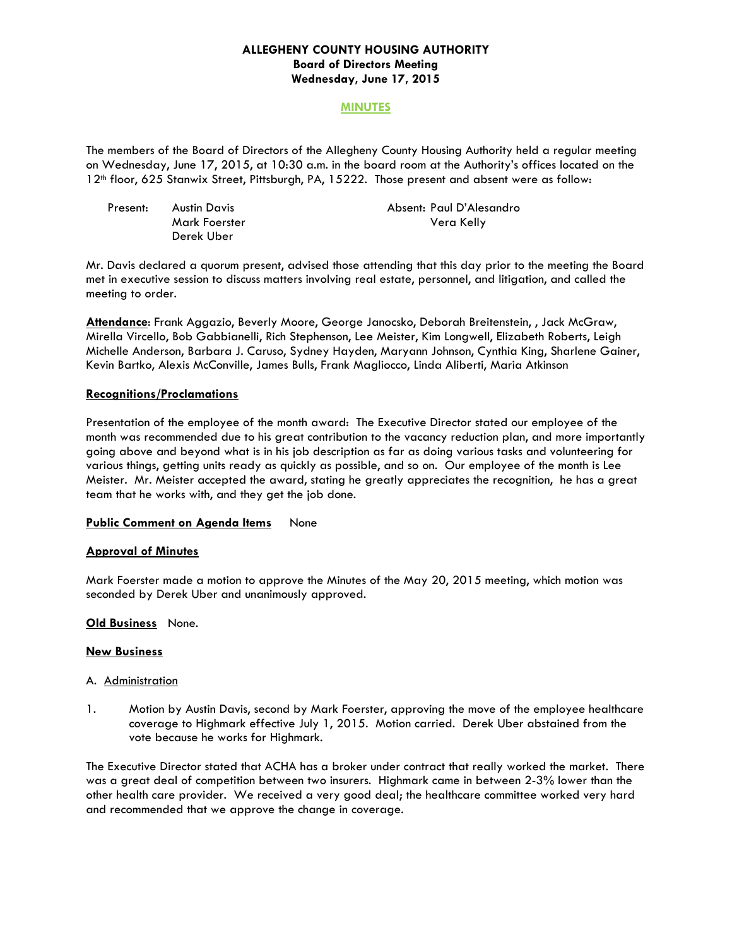### **ALLEGHENY COUNTY HOUSING AUTHORITY Board of Directors Meeting Wednesday, June 17, 2015**

### **MINUTES**

The members of the Board of Directors of the Allegheny County Housing Authority held a regular meeting on Wednesday, June 17, 2015, at 10:30 a.m. in the board room at the Authority's offices located on the 12th floor, 625 Stanwix Street, Pittsburgh, PA, 15222. Those present and absent were as follow:

| Present: | Austin Davis  | Absent: Paul D'Alesandro |
|----------|---------------|--------------------------|
|          | Mark Foerster | Vera Kelly               |
|          | Derek Uber    |                          |

Mr. Davis declared a quorum present, advised those attending that this day prior to the meeting the Board met in executive session to discuss matters involving real estate, personnel, and litigation, and called the meeting to order.

**Attendance**: Frank Aggazio, Beverly Moore, George Janocsko, Deborah Breitenstein, , Jack McGraw, Mirella Vircello, Bob Gabbianelli, Rich Stephenson, Lee Meister, Kim Longwell, Elizabeth Roberts, Leigh Michelle Anderson, Barbara J. Caruso, Sydney Hayden, Maryann Johnson, Cynthia King, Sharlene Gainer, Kevin Bartko, Alexis McConville, James Bulls, Frank Magliocco, Linda Aliberti, Maria Atkinson

#### **Recognitions/Proclamations**

Presentation of the employee of the month award: The Executive Director stated our employee of the month was recommended due to his great contribution to the vacancy reduction plan, and more importantly going above and beyond what is in his job description as far as doing various tasks and volunteering for various things, getting units ready as quickly as possible, and so on. Our employee of the month is Lee Meister. Mr. Meister accepted the award, stating he greatly appreciates the recognition, he has a great team that he works with, and they get the job done.

#### **Public Comment on Agenda Items** None

#### **Approval of Minutes**

Mark Foerster made a motion to approve the Minutes of the May 20, 2015 meeting, which motion was seconded by Derek Uber and unanimously approved.

#### **Old Business** None.

#### **New Business**

#### A. Administration

1. Motion by Austin Davis, second by Mark Foerster, approving the move of the employee healthcare coverage to Highmark effective July 1, 2015. Motion carried. Derek Uber abstained from the vote because he works for Highmark.

The Executive Director stated that ACHA has a broker under contract that really worked the market. There was a great deal of competition between two insurers. Highmark came in between 2-3% lower than the other health care provider. We received a very good deal; the healthcare committee worked very hard and recommended that we approve the change in coverage.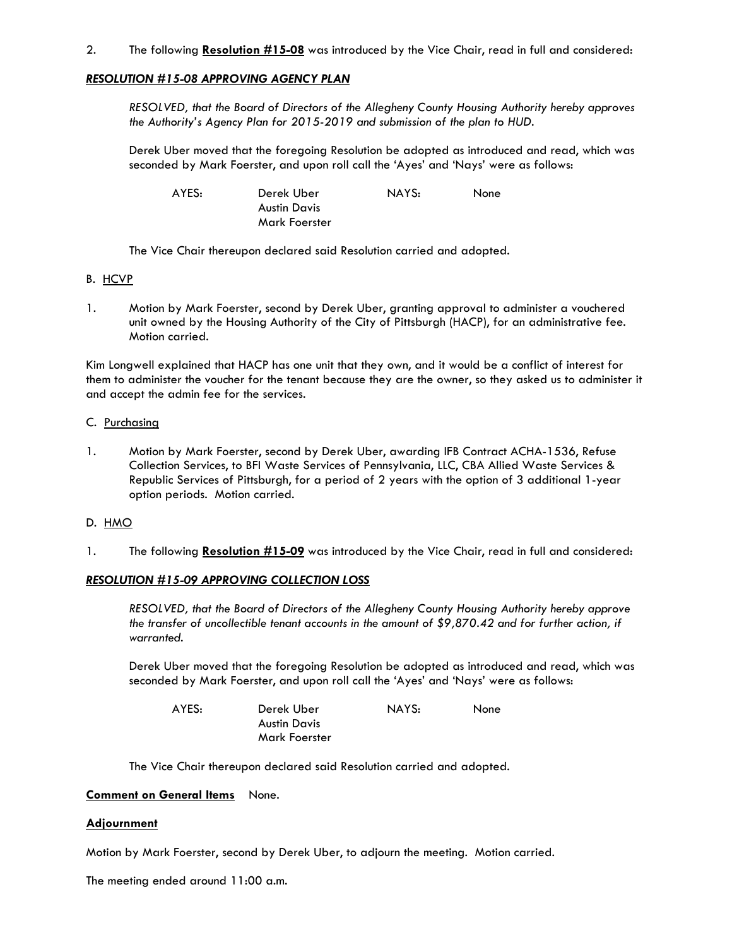### 2. The following **Resolution #15-08** was introduced by the Vice Chair, read in full and considered:

### *RESOLUTION #15-08 APPROVING AGENCY PLAN*

 *RESOLVED, that the Board of Directors of the Allegheny County Housing Authority hereby approves the Authority's Agency Plan for 2015-2019 and submission of the plan to HUD.*

Derek Uber moved that the foregoing Resolution be adopted as introduced and read, which was seconded by Mark Foerster, and upon roll call the 'Ayes' and 'Nays' were as follows:

| AYES: | Derek Uber    | NAYS: | None |
|-------|---------------|-------|------|
|       | Austin Davis  |       |      |
|       | Mark Foerster |       |      |

The Vice Chair thereupon declared said Resolution carried and adopted*.* 

- B. HCVP
- 1. Motion by Mark Foerster, second by Derek Uber, granting approval to administer a vouchered unit owned by the Housing Authority of the City of Pittsburgh (HACP), for an administrative fee. Motion carried.

Kim Longwell explained that HACP has one unit that they own, and it would be a conflict of interest for them to administer the voucher for the tenant because they are the owner, so they asked us to administer it and accept the admin fee for the services.

- C. Purchasing
- 1. Motion by Mark Foerster, second by Derek Uber, awarding IFB Contract ACHA-1536, Refuse Collection Services, to BFI Waste Services of Pennsylvania, LLC, CBA Allied Waste Services & Republic Services of Pittsburgh, for a period of 2 years with the option of 3 additional 1-year option periods. Motion carried.

#### D. HMO

1*.* The following **Resolution #15-09** was introduced by the Vice Chair, read in full and considered:

#### *RESOLUTION #15-09 APPROVING COLLECTION LOSS*

 *RESOLVED, that the Board of Directors of the Allegheny County Housing Authority hereby approve the transfer of uncollectible tenant accounts in the amount of \$9,870.42 and for further action, if warranted.* 

Derek Uber moved that the foregoing Resolution be adopted as introduced and read, which was seconded by Mark Foerster, and upon roll call the 'Ayes' and 'Nays' were as follows:

| AYES: | Derek Uber    | NAYS: | <b>None</b> |
|-------|---------------|-------|-------------|
|       | Austin Davis  |       |             |
|       | Mark Foerster |       |             |

The Vice Chair thereupon declared said Resolution carried and adopted*.* 

### **Comment on General Items** None.

#### **Adjournment**

Motion by Mark Foerster, second by Derek Uber, to adjourn the meeting. Motion carried.

The meeting ended around 11:00 a.m.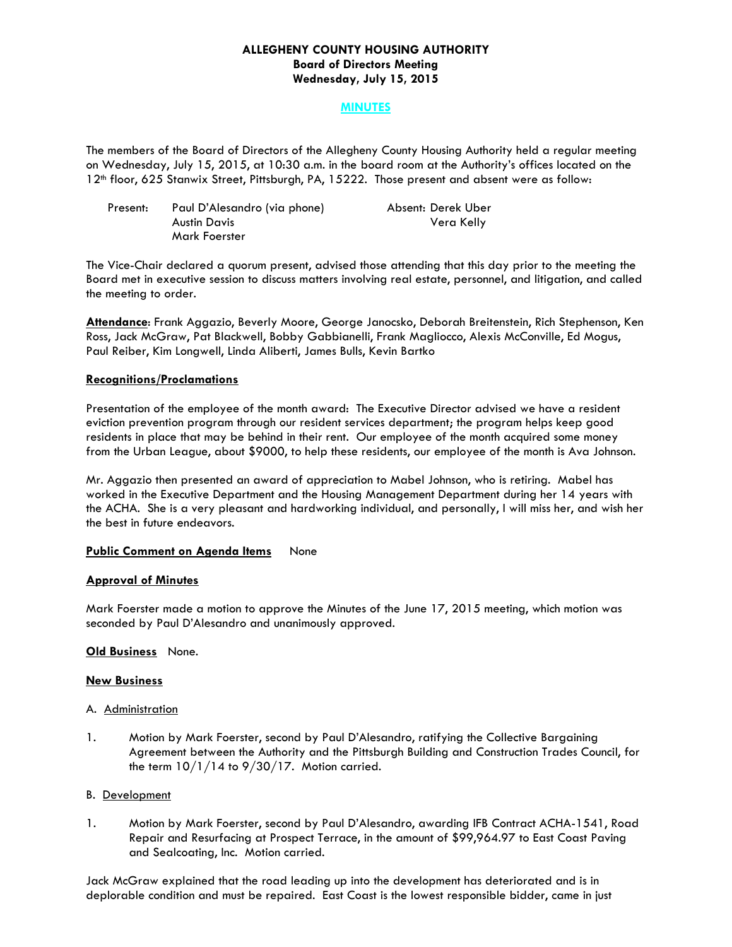### **ALLEGHENY COUNTY HOUSING AUTHORITY Board of Directors Meeting Wednesday, July 15, 2015**

### **MINUTES**

The members of the Board of Directors of the Allegheny County Housing Authority held a regular meeting on Wednesday, July 15, 2015, at 10:30 a.m. in the board room at the Authority's offices located on the 12th floor, 625 Stanwix Street, Pittsburgh, PA, 15222. Those present and absent were as follow:

| Present: | Paul D'Alesandro (via phone) | Absent: Derek Uber |
|----------|------------------------------|--------------------|
|          | Austin Davis                 | Vera Kelly         |
|          | Mark Foerster                |                    |

The Vice-Chair declared a quorum present, advised those attending that this day prior to the meeting the Board met in executive session to discuss matters involving real estate, personnel, and litigation, and called the meeting to order.

**Attendance**: Frank Aggazio, Beverly Moore, George Janocsko, Deborah Breitenstein, Rich Stephenson, Ken Ross, Jack McGraw, Pat Blackwell, Bobby Gabbianelli, Frank Magliocco, Alexis McConville, Ed Mogus, Paul Reiber, Kim Longwell, Linda Aliberti, James Bulls, Kevin Bartko

#### **Recognitions/Proclamations**

Presentation of the employee of the month award: The Executive Director advised we have a resident eviction prevention program through our resident services department; the program helps keep good residents in place that may be behind in their rent. Our employee of the month acquired some money from the Urban League, about \$9000, to help these residents, our employee of the month is Ava Johnson.

Mr. Aggazio then presented an award of appreciation to Mabel Johnson, who is retiring. Mabel has worked in the Executive Department and the Housing Management Department during her 14 years with the ACHA. She is a very pleasant and hardworking individual, and personally, I will miss her, and wish her the best in future endeavors.

### **Public Comment on Agenda Items** None

### **Approval of Minutes**

Mark Foerster made a motion to approve the Minutes of the June 17, 2015 meeting, which motion was seconded by Paul D'Alesandro and unanimously approved.

#### **Old Business** None.

#### **New Business**

#### A. Administration

1. Motion by Mark Foerster, second by Paul D'Alesandro, ratifying the Collective Bargaining Agreement between the Authority and the Pittsburgh Building and Construction Trades Council, for the term  $10/1/14$  to  $9/30/17$ . Motion carried.

#### B. Development

1. Motion by Mark Foerster, second by Paul D'Alesandro, awarding IFB Contract ACHA-1541, Road Repair and Resurfacing at Prospect Terrace, in the amount of \$99,964.97 to East Coast Paving and Sealcoating, Inc. Motion carried.

Jack McGraw explained that the road leading up into the development has deteriorated and is in deplorable condition and must be repaired. East Coast is the lowest responsible bidder, came in just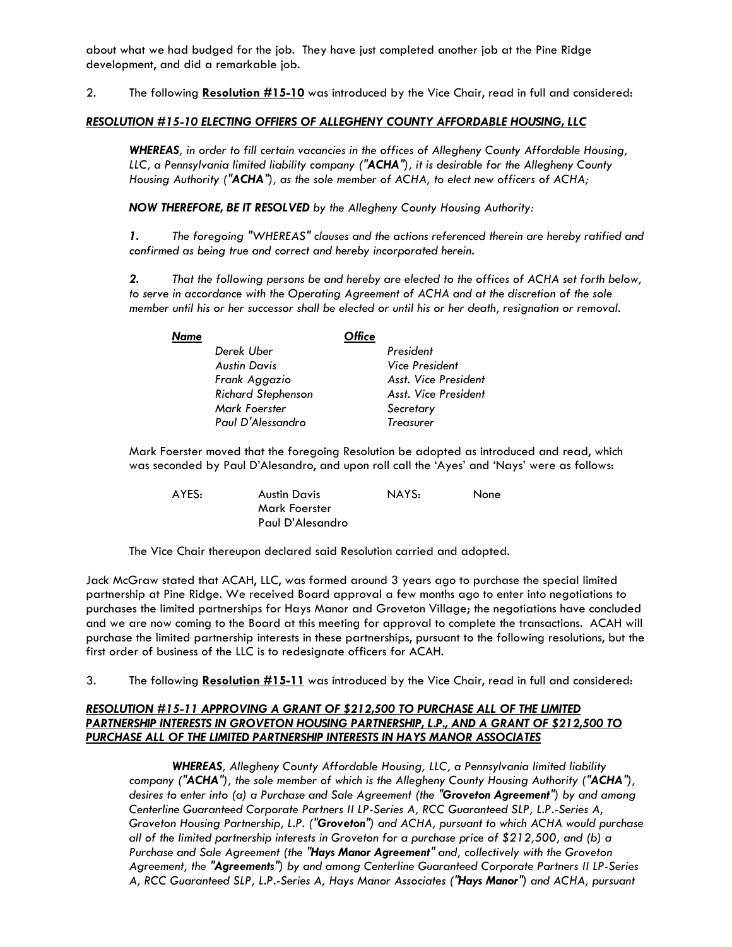about what we had budged for the job. They have just completed another job at the Pine Ridge development, and did a remarkable job.

2. The following **Resolution #15-10** was introduced by the Vice Chair, read in full and considered:

### *RESOLUTION #15-10 ELECTING OFFIERS OF ALLEGHENY COUNTY AFFORDABLE HOUSING, LLC*

*WHEREAS, in order to fill certain vacancies in the offices of Allegheny County Affordable Housing, LLC, a Pennsylvania limited liability company ("ACHA"), it is desirable for the Allegheny County Housing Authority ("ACHA"), as the sole member of ACHA, to elect new officers of ACHA;* 

*NOW THEREFORE, BE IT RESOLVED by the Allegheny County Housing Authority:* 

*1. The foregoing "WHEREAS" clauses and the actions referenced therein are hereby ratified and confirmed as being true and correct and hereby incorporated herein.* 

*2. That the following persons be and hereby are elected to the offices of ACHA set forth below,*  to serve in accordance with the Operating Agreement of ACHA and at the discretion of the sole *member until his or her successor shall be elected or until his or her death, resignation or removal.* 

| Name |                           | Office |                      |
|------|---------------------------|--------|----------------------|
|      | Derek Uber                |        | President            |
|      | Austin Davis              |        | Vice President       |
|      | Frank Aggazio             |        | Asst. Vice President |
|      | <b>Richard Stephenson</b> |        | Asst. Vice President |
|      | Mark Foerster             |        | Secretary            |
|      | Paul D'Alessandro         |        | <b>Treasurer</b>     |

Mark Foerster moved that the foregoing Resolution be adopted as introduced and read, which was seconded by Paul D'Alesandro, and upon roll call the 'Ayes' and 'Nays' were as follows:

| AYES: | Austin Davis     | NAYS: | None |
|-------|------------------|-------|------|
|       | Mark Foerster    |       |      |
|       | Paul D'Alesandro |       |      |

The Vice Chair thereupon declared said Resolution carried and adopted*.* 

Jack McGraw stated that ACAH, LLC, was formed around 3 years ago to purchase the special limited partnership at Pine Ridge. We received Board approval a few months ago to enter into negotiations to purchases the limited partnerships for Hays Manor and Groveton Village; the negotiations have concluded and we are now coming to the Board at this meeting for approval to complete the transactions. ACAH will purchase the limited partnership interests in these partnerships, pursuant to the following resolutions, but the first order of business of the LLC is to redesignate officers for ACAH.

3. The following **Resolution #15-11** was introduced by the Vice Chair, read in full and considered:

### *RESOLUTION #15-11 APPROVING A GRANT OF \$212,500 TO PURCHASE ALL OF THE LIMITED PARTNERSHIP INTERESTS IN GROVETON HOUSING PARTNERSHIP, L.P., AND A GRANT OF \$212,500 TO PURCHASE ALL OF THE LIMITED PARTNERSHIP INTERESTS IN HAYS MANOR ASSOCIATES*

*WHEREAS, Allegheny County Affordable Housing, LLC, a Pennsylvania limited liability company ("ACHA"), the sole member of which is the Allegheny County Housing Authority ("ACHA"), desires to enter into (a) a Purchase and Sale Agreement (the "Groveton Agreement") by and among Centerline Guaranteed Corporate Partners II LP-Series A, RCC Guaranteed SLP, L.P.-Series A, Groveton Housing Partnership, L.P. ("Groveton") and ACHA, pursuant to which ACHA would purchase all of the limited partnership interests in Groveton for a purchase price of \$212,500, and (b) a Purchase and Sale Agreement (the "Hays Manor Agreement" and, collectively with the Groveton Agreement, the "Agreements") by and among Centerline Guaranteed Corporate Partners II LP-Series A, RCC Guaranteed SLP, L.P.-Series A, Hays Manor Associates ("Hays Manor") and ACHA, pursuant*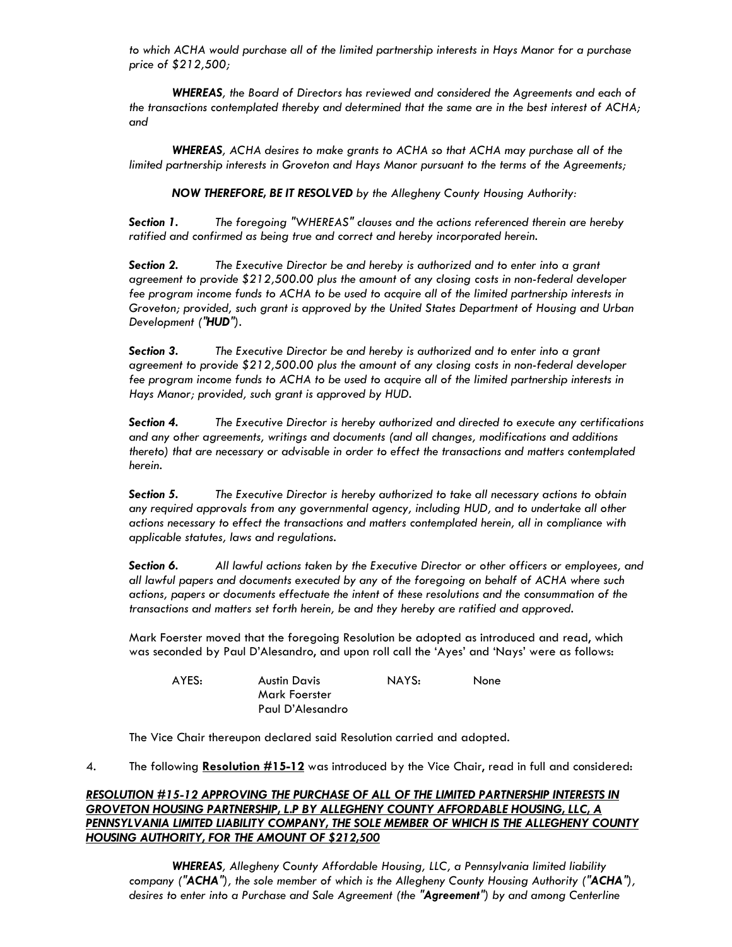*to which ACHA would purchase all of the limited partnership interests in Hays Manor for a purchase price of \$212,500;* 

*WHEREAS, the Board of Directors has reviewed and considered the Agreements and each of the transactions contemplated thereby and determined that the same are in the best interest of ACHA; and* 

*WHEREAS, ACHA desires to make grants to ACHA so that ACHA may purchase all of the limited partnership interests in Groveton and Hays Manor pursuant to the terms of the Agreements;* 

*NOW THEREFORE, BE IT RESOLVED by the Allegheny County Housing Authority:* 

*Section 1. The foregoing "WHEREAS" clauses and the actions referenced therein are hereby*  ratified and confirmed as being true and correct and hereby incorporated herein.

*Section 2. The Executive Director be and hereby is authorized and to enter into a grant agreement to provide \$212,500.00 plus the amount of any closing costs in non-federal developer fee program income funds to ACHA to be used to acquire all of the limited partnership interests in Groveton; provided, such grant is approved by the United States Department of Housing and Urban Development ("HUD").* 

*Section 3. The Executive Director be and hereby is authorized and to enter into a grant agreement to provide \$212,500.00 plus the amount of any closing costs in non-federal developer*  fee program income funds to ACHA to be used to acquire all of the limited partnership interests in *Hays Manor; provided, such grant is approved by HUD.* 

*Section 4. The Executive Director is hereby authorized and directed to execute any certifications and any other agreements, writings and documents (and all changes, modifications and additions thereto) that are necessary or advisable in order to effect the transactions and matters contemplated herein.* 

*Section 5. The Executive Director is hereby authorized to take all necessary actions to obtain any required approvals from any governmental agency, including HUD, and to undertake all other actions necessary to effect the transactions and matters contemplated herein, all in compliance with applicable statutes, laws and regulations.* 

*Section 6. All lawful actions taken by the Executive Director or other officers or employees, and all lawful papers and documents executed by any of the foregoing on behalf of ACHA where such actions, papers or documents effectuate the intent of these resolutions and the consummation of the transactions and matters set forth herein, be and they hereby are ratified and approved.* 

Mark Foerster moved that the foregoing Resolution be adopted as introduced and read, which was seconded by Paul D'Alesandro, and upon roll call the 'Ayes' and 'Nays' were as follows:

| AYES: | Austin Davis     | NAYS: | None |
|-------|------------------|-------|------|
|       | Mark Foerster    |       |      |
|       | Paul D'Alesandro |       |      |

The Vice Chair thereupon declared said Resolution carried and adopted*.* 

4. The following **Resolution #15-12** was introduced by the Vice Chair, read in full and considered:

# *RESOLUTION #15-12 APPROVING THE PURCHASE OF ALL OF THE LIMITED PARTNERSHIP INTERESTS IN GROVETON HOUSING PARTNERSHIP, L.P BY ALLEGHENY COUNTY AFFORDABLE HOUSING, LLC, A PENNSYLVANIA LIMITED LIABILITY COMPANY, THE SOLE MEMBER OF WHICH IS THE ALLEGHENY COUNTY HOUSING AUTHORITY, FOR THE AMOUNT OF \$212,500*

*WHEREAS, Allegheny County Affordable Housing, LLC, a Pennsylvania limited liability company ("ACHA"), the sole member of which is the Allegheny County Housing Authority ("ACHA"), desires to enter into a Purchase and Sale Agreement (the "Agreement") by and among Centerline*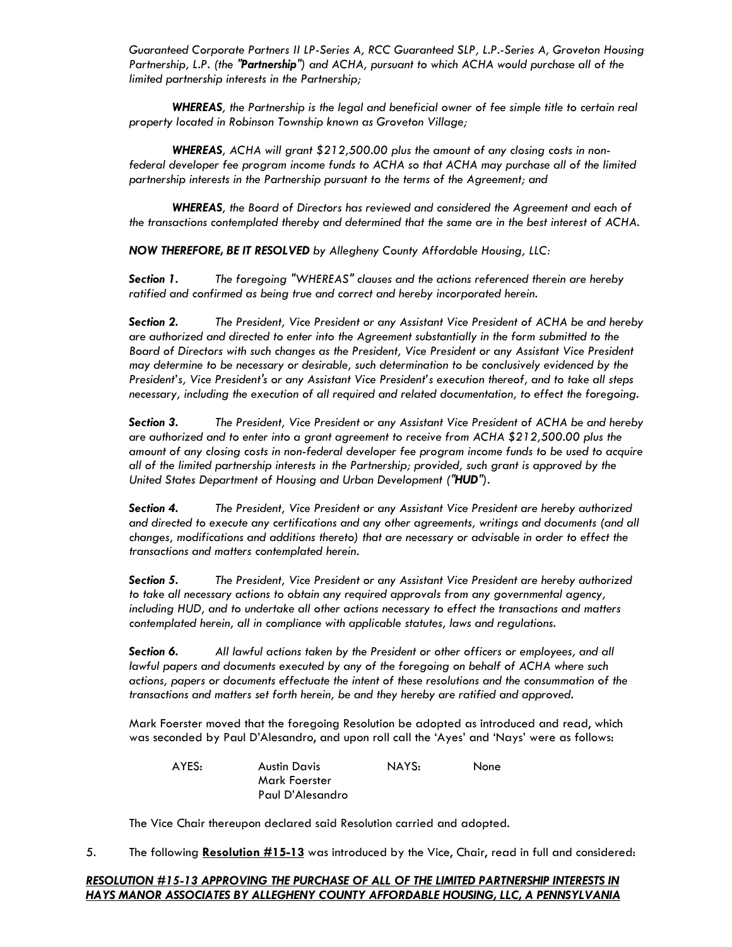*Guaranteed Corporate Partners II LP-Series A, RCC Guaranteed SLP, L.P.-Series A, Groveton Housing Partnership, L.P. (the "Partnership") and ACHA, pursuant to which ACHA would purchase all of the limited partnership interests in the Partnership;* 

 *WHEREAS, the Partnership is the legal and beneficial owner of fee simple title to certain real property located in Robinson Township known as Groveton Village;* 

 *WHEREAS, ACHA will grant \$212,500.00 plus the amount of any closing costs in nonfederal developer fee program income funds to ACHA so that ACHA may purchase all of the limited partnership interests in the Partnership pursuant to the terms of the Agreement; and* 

 *WHEREAS, the Board of Directors has reviewed and considered the Agreement and each of the transactions contemplated thereby and determined that the same are in the best interest of ACHA.* 

*NOW THEREFORE, BE IT RESOLVED by Allegheny County Affordable Housing, LLC:* 

*Section 1. The foregoing "WHEREAS" clauses and the actions referenced therein are hereby*  ratified and confirmed as being true and correct and hereby incorporated herein.

*Section 2. The President, Vice President or any Assistant Vice President of ACHA be and hereby are authorized and directed to enter into the Agreement substantially in the form submitted to the Board of Directors with such changes as the President, Vice President or any Assistant Vice President may determine to be necessary or desirable, such determination to be conclusively evidenced by the President's, Vice President's or any Assistant Vice President's execution thereof, and to take all steps necessary, including the execution of all required and related documentation, to effect the foregoing.* 

*Section 3. The President, Vice President or any Assistant Vice President of ACHA be and hereby are authorized and to enter into a grant agreement to receive from ACHA \$212,500.00 plus the amount of any closing costs in non-federal developer fee program income funds to be used to acquire all of the limited partnership interests in the Partnership; provided, such grant is approved by the United States Department of Housing and Urban Development ("HUD").* 

*Section 4. The President, Vice President or any Assistant Vice President are hereby authorized and directed to execute any certifications and any other agreements, writings and documents (and all changes, modifications and additions thereto) that are necessary or advisable in order to effect the transactions and matters contemplated herein.* 

*Section 5. The President, Vice President or any Assistant Vice President are hereby authorized to take all necessary actions to obtain any required approvals from any governmental agency, including HUD, and to undertake all other actions necessary to effect the transactions and matters contemplated herein, all in compliance with applicable statutes, laws and regulations.* 

*Section 6. All lawful actions taken by the President or other officers or employees, and all lawful papers and documents executed by any of the foregoing on behalf of ACHA where such actions, papers or documents effectuate the intent of these resolutions and the consummation of the transactions and matters set forth herein, be and they hereby are ratified and approved.* 

Mark Foerster moved that the foregoing Resolution be adopted as introduced and read, which was seconded by Paul D'Alesandro, and upon roll call the 'Ayes' and 'Nays' were as follows:

 AYES: Austin Davis NAYS: None Mark Foerster Paul D'Alesandro

The Vice Chair thereupon declared said Resolution carried and adopted*.* 

5. The following **Resolution #15-13** was introduced by the Vice, Chair, read in full and considered:

## *RESOLUTION #15-13 APPROVING THE PURCHASE OF ALL OF THE LIMITED PARTNERSHIP INTERESTS IN HAYS MANOR ASSOCIATES BY ALLEGHENY COUNTY AFFORDABLE HOUSING, LLC, A PENNSYLVANIA*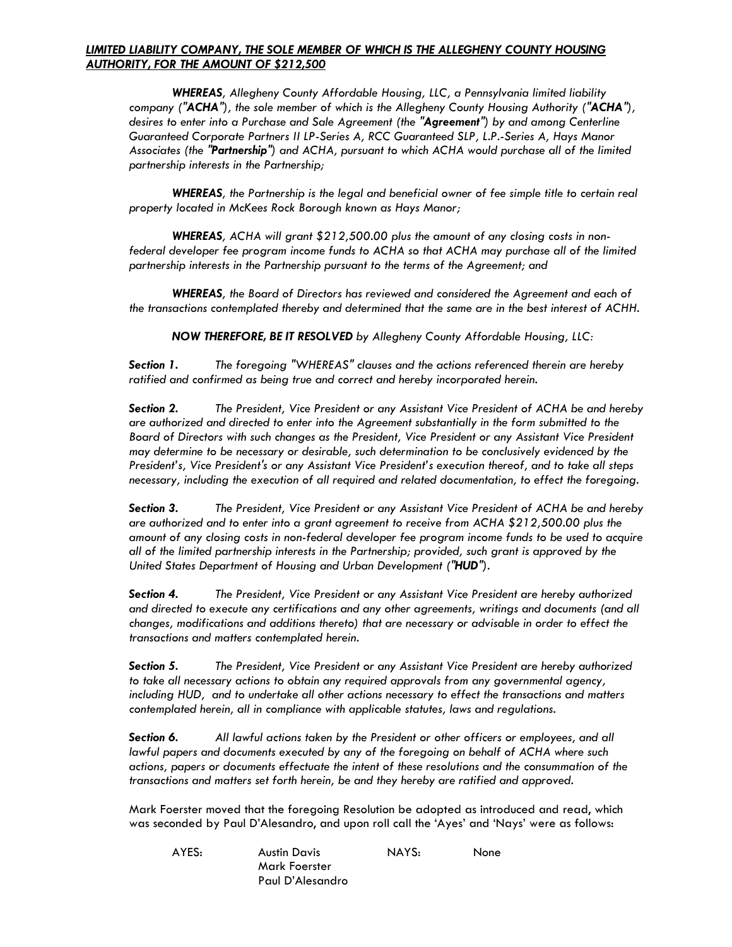## *LIMITED LIABILITY COMPANY, THE SOLE MEMBER OF WHICH IS THE ALLEGHENY COUNTY HOUSING AUTHORITY, FOR THE AMOUNT OF \$212,500*

 *WHEREAS, Allegheny County Affordable Housing, LLC, a Pennsylvania limited liability company ("ACHA"), the sole member of which is the Allegheny County Housing Authority ("ACHA"), desires to enter into a Purchase and Sale Agreement (the "Agreement") by and among Centerline Guaranteed Corporate Partners II LP-Series A, RCC Guaranteed SLP, L.P.-Series A, Hays Manor Associates (the "Partnership") and ACHA, pursuant to which ACHA would purchase all of the limited partnership interests in the Partnership;* 

 *WHEREAS, the Partnership is the legal and beneficial owner of fee simple title to certain real property located in McKees Rock Borough known as Hays Manor;* 

 *WHEREAS, ACHA will grant \$212,500.00 plus the amount of any closing costs in non*federal developer fee program income funds to ACHA so that ACHA may purchase all of the limited *partnership interests in the Partnership pursuant to the terms of the Agreement; and* 

 *WHEREAS, the Board of Directors has reviewed and considered the Agreement and each of the transactions contemplated thereby and determined that the same are in the best interest of ACHH.* 

 *NOW THEREFORE, BE IT RESOLVED by Allegheny County Affordable Housing, LLC:* 

*Section 1. The foregoing "WHEREAS" clauses and the actions referenced therein are hereby ratified and confirmed as being true and correct and hereby incorporated herein.* 

*Section 2. The President, Vice President or any Assistant Vice President of ACHA be and hereby are authorized and directed to enter into the Agreement substantially in the form submitted to the Board of Directors with such changes as the President, Vice President or any Assistant Vice President may determine to be necessary or desirable, such determination to be conclusively evidenced by the President's, Vice President's or any Assistant Vice President's execution thereof, and to take all steps necessary, including the execution of all required and related documentation, to effect the foregoing.* 

*Section 3. The President, Vice President or any Assistant Vice President of ACHA be and hereby are authorized and to enter into a grant agreement to receive from ACHA \$212,500.00 plus the amount of any closing costs in non-federal developer fee program income funds to be used to acquire all of the limited partnership interests in the Partnership; provided, such grant is approved by the United States Department of Housing and Urban Development ("HUD").* 

*Section 4. The President, Vice President or any Assistant Vice President are hereby authorized and directed to execute any certifications and any other agreements, writings and documents (and all changes, modifications and additions thereto) that are necessary or advisable in order to effect the transactions and matters contemplated herein.* 

*Section 5. The President, Vice President or any Assistant Vice President are hereby authorized to take all necessary actions to obtain any required approvals from any governmental agency, including HUD, and to undertake all other actions necessary to effect the transactions and matters contemplated herein, all in compliance with applicable statutes, laws and regulations.* 

*Section 6. All lawful actions taken by the President or other officers or employees, and all lawful papers and documents executed by any of the foregoing on behalf of ACHA where such actions, papers or documents effectuate the intent of these resolutions and the consummation of the transactions and matters set forth herein, be and they hereby are ratified and approved.* 

Mark Foerster moved that the foregoing Resolution be adopted as introduced and read, which was seconded by Paul D'Alesandro, and upon roll call the 'Ayes' and 'Nays' were as follows:

| AYES: | Austin Davis     | NAYS: | None |
|-------|------------------|-------|------|
|       | Mark Foerster    |       |      |
|       | Paul D'Alesandro |       |      |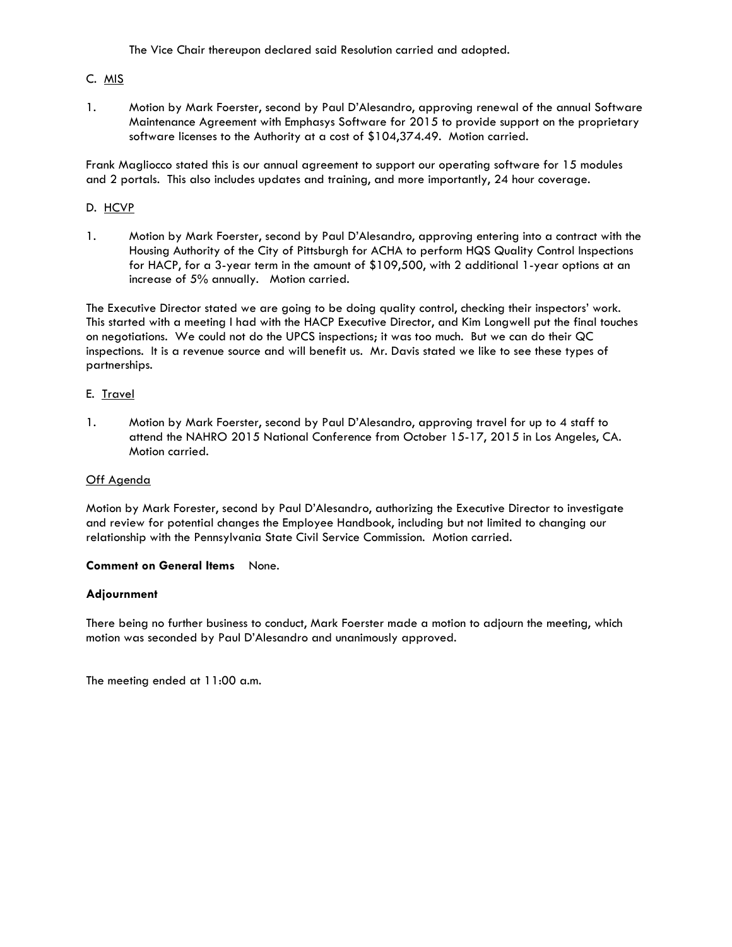The Vice Chair thereupon declared said Resolution carried and adopted*.* 

# C. MIS

1. Motion by Mark Foerster, second by Paul D'Alesandro, approving renewal of the annual Software Maintenance Agreement with Emphasys Software for 2015 to provide support on the proprietary software licenses to the Authority at a cost of \$104,374.49. Motion carried.

Frank Magliocco stated this is our annual agreement to support our operating software for 15 modules and 2 portals. This also includes updates and training, and more importantly, 24 hour coverage.

### D. HCVP

1. Motion by Mark Foerster, second by Paul D'Alesandro, approving entering into a contract with the Housing Authority of the City of Pittsburgh for ACHA to perform HQS Quality Control Inspections for HACP, for a 3-year term in the amount of \$109,500, with 2 additional 1-year options at an increase of 5% annually. Motion carried.

The Executive Director stated we are going to be doing quality control, checking their inspectors' work. This started with a meeting I had with the HACP Executive Director, and Kim Longwell put the final touches on negotiations. We could not do the UPCS inspections; it was too much. But we can do their QC inspections. It is a revenue source and will benefit us. Mr. Davis stated we like to see these types of partnerships.

### E. Travel

1. Motion by Mark Foerster, second by Paul D'Alesandro, approving travel for up to 4 staff to attend the NAHRO 2015 National Conference from October 15-17, 2015 in Los Angeles, CA. Motion carried.

### Off Agenda

Motion by Mark Forester, second by Paul D'Alesandro, authorizing the Executive Director to investigate and review for potential changes the Employee Handbook, including but not limited to changing our relationship with the Pennsylvania State Civil Service Commission. Motion carried.

### **Comment on General Items** None.

### **Adjournment**

There being no further business to conduct, Mark Foerster made a motion to adjourn the meeting, which motion was seconded by Paul D'Alesandro and unanimously approved.

The meeting ended at 11:00 a.m.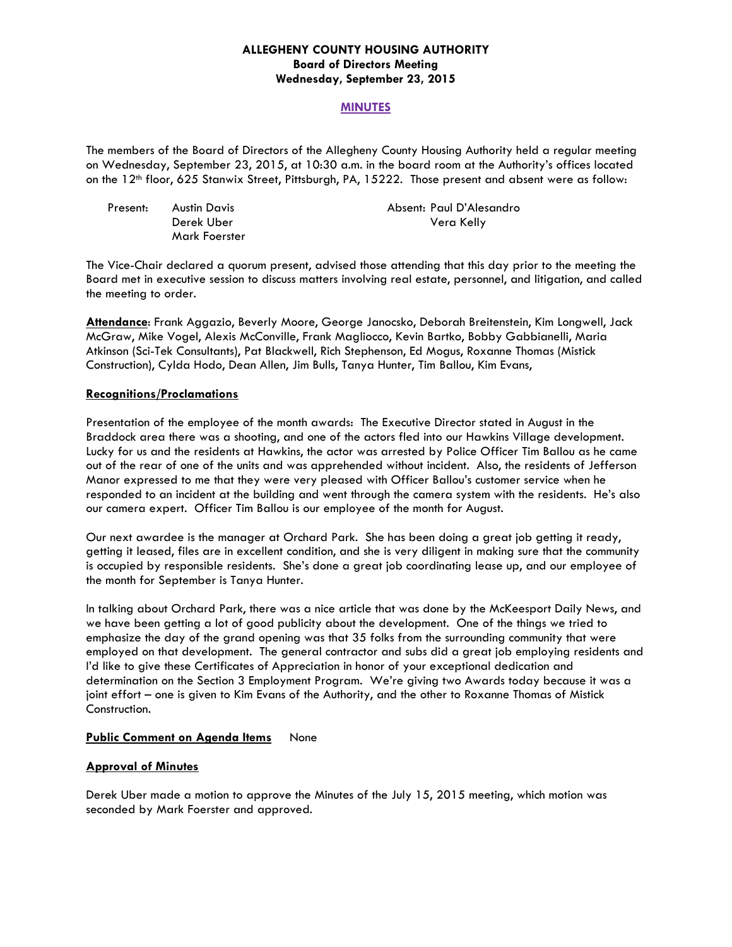### **ALLEGHENY COUNTY HOUSING AUTHORITY Board of Directors Meeting Wednesday, September 23, 2015**

### **MINUTES**

The members of the Board of Directors of the Allegheny County Housing Authority held a regular meeting on Wednesday, September 23, 2015, at 10:30 a.m. in the board room at the Authority's offices located on the 12<sup>th</sup> floor, 625 Stanwix Street, Pittsburgh, PA, 15222. Those present and absent were as follow:

| Present: | Austin Davis  | Absent: Paul D'Alesandro |
|----------|---------------|--------------------------|
|          | Derek Uber    | Vera Kelly               |
|          | Mark Foerster |                          |

The Vice-Chair declared a quorum present, advised those attending that this day prior to the meeting the Board met in executive session to discuss matters involving real estate, personnel, and litigation, and called the meeting to order.

**Attendance**: Frank Aggazio, Beverly Moore, George Janocsko, Deborah Breitenstein, Kim Longwell, Jack McGraw, Mike Vogel, Alexis McConville, Frank Magliocco, Kevin Bartko, Bobby Gabbianelli, Maria Atkinson (Sci-Tek Consultants), Pat Blackwell, Rich Stephenson, Ed Mogus, Roxanne Thomas (Mistick Construction), Cylda Hodo, Dean Allen, Jim Bulls, Tanya Hunter, Tim Ballou, Kim Evans,

### **Recognitions/Proclamations**

Presentation of the employee of the month awards: The Executive Director stated in August in the Braddock area there was a shooting, and one of the actors fled into our Hawkins Village development. Lucky for us and the residents at Hawkins, the actor was arrested by Police Officer Tim Ballou as he came out of the rear of one of the units and was apprehended without incident. Also, the residents of Jefferson Manor expressed to me that they were very pleased with Officer Ballou's customer service when he responded to an incident at the building and went through the camera system with the residents. He's also our camera expert. Officer Tim Ballou is our employee of the month for August.

Our next awardee is the manager at Orchard Park. She has been doing a great job getting it ready, getting it leased, files are in excellent condition, and she is very diligent in making sure that the community is occupied by responsible residents. She's done a great job coordinating lease up, and our employee of the month for September is Tanya Hunter.

In talking about Orchard Park, there was a nice article that was done by the McKeesport Daily News, and we have been getting a lot of good publicity about the development. One of the things we tried to emphasize the day of the grand opening was that 35 folks from the surrounding community that were employed on that development. The general contractor and subs did a great job employing residents and I'd like to give these Certificates of Appreciation in honor of your exceptional dedication and determination on the Section 3 Employment Program. We're giving two Awards today because it was a joint effort – one is given to Kim Evans of the Authority, and the other to Roxanne Thomas of Mistick Construction.

### **Public Comment on Agenda Items** None

### **Approval of Minutes**

Derek Uber made a motion to approve the Minutes of the July 15, 2015 meeting, which motion was seconded by Mark Foerster and approved.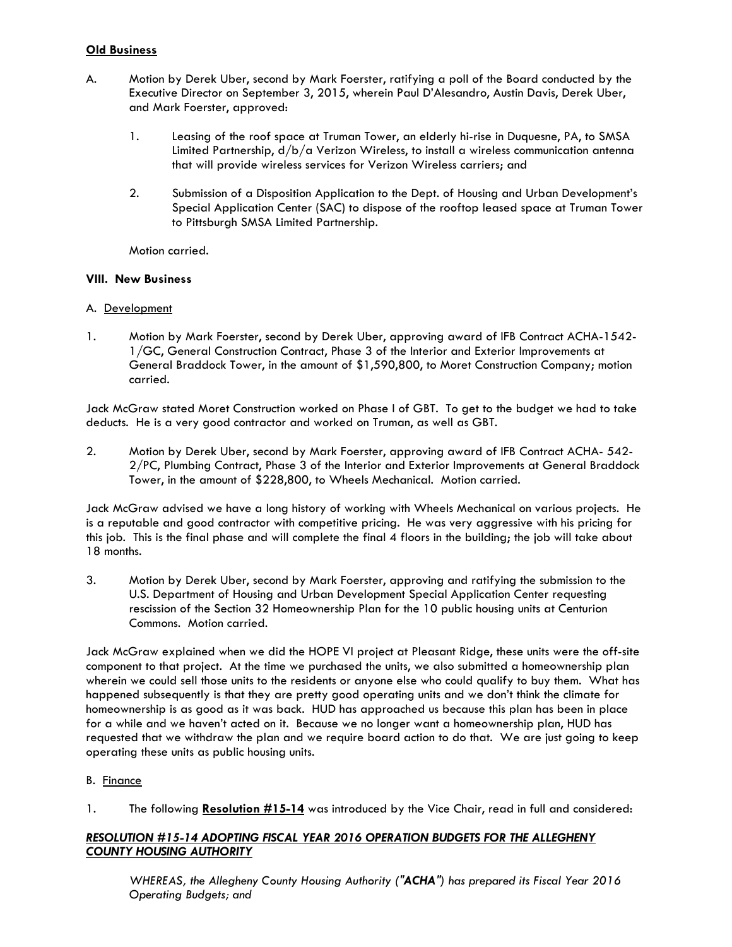# **Old Business**

- A. Motion by Derek Uber, second by Mark Foerster, ratifying a poll of the Board conducted by the Executive Director on September 3, 2015, wherein Paul D'Alesandro, Austin Davis, Derek Uber, and Mark Foerster, approved:
	- 1. Leasing of the roof space at Truman Tower, an elderly hi-rise in Duquesne, PA, to SMSA Limited Partnership, d/b/a Verizon Wireless, to install a wireless communication antenna that will provide wireless services for Verizon Wireless carriers; and
	- 2. Submission of a Disposition Application to the Dept. of Housing and Urban Development's Special Application Center (SAC) to dispose of the rooftop leased space at Truman Tower to Pittsburgh SMSA Limited Partnership.

Motion carried.

## **VIII. New Business**

## A. Development

1. Motion by Mark Foerster, second by Derek Uber, approving award of IFB Contract ACHA-1542- 1/GC, General Construction Contract, Phase 3 of the Interior and Exterior Improvements at General Braddock Tower, in the amount of \$1,590,800, to Moret Construction Company; motion carried.

Jack McGraw stated Moret Construction worked on Phase I of GBT. To get to the budget we had to take deducts. He is a very good contractor and worked on Truman, as well as GBT.

2. Motion by Derek Uber, second by Mark Foerster, approving award of IFB Contract ACHA- 542- 2/PC, Plumbing Contract, Phase 3 of the Interior and Exterior Improvements at General Braddock Tower, in the amount of \$228,800, to Wheels Mechanical. Motion carried.

Jack McGraw advised we have a long history of working with Wheels Mechanical on various projects. He is a reputable and good contractor with competitive pricing. He was very aggressive with his pricing for this job. This is the final phase and will complete the final 4 floors in the building; the job will take about 18 months.

3. Motion by Derek Uber, second by Mark Foerster, approving and ratifying the submission to the U.S. Department of Housing and Urban Development Special Application Center requesting rescission of the Section 32 Homeownership Plan for the 10 public housing units at Centurion Commons. Motion carried.

Jack McGraw explained when we did the HOPE VI project at Pleasant Ridge, these units were the off-site component to that project. At the time we purchased the units, we also submitted a homeownership plan wherein we could sell those units to the residents or anyone else who could qualify to buy them. What has happened subsequently is that they are pretty good operating units and we don't think the climate for homeownership is as good as it was back. HUD has approached us because this plan has been in place for a while and we haven't acted on it. Because we no longer want a homeownership plan, HUD has requested that we withdraw the plan and we require board action to do that. We are just going to keep operating these units as public housing units.

### B. Finance

1. The following **Resolution #15-14** was introduced by the Vice Chair, read in full and considered:

# *RESOLUTION #15-14 ADOPTING FISCAL YEAR 2016 OPERATION BUDGETS FOR THE ALLEGHENY COUNTY HOUSING AUTHORITY*

*WHEREAS, the Allegheny County Housing Authority ("ACHA") has prepared its Fiscal Year 2016 Operating Budgets; and*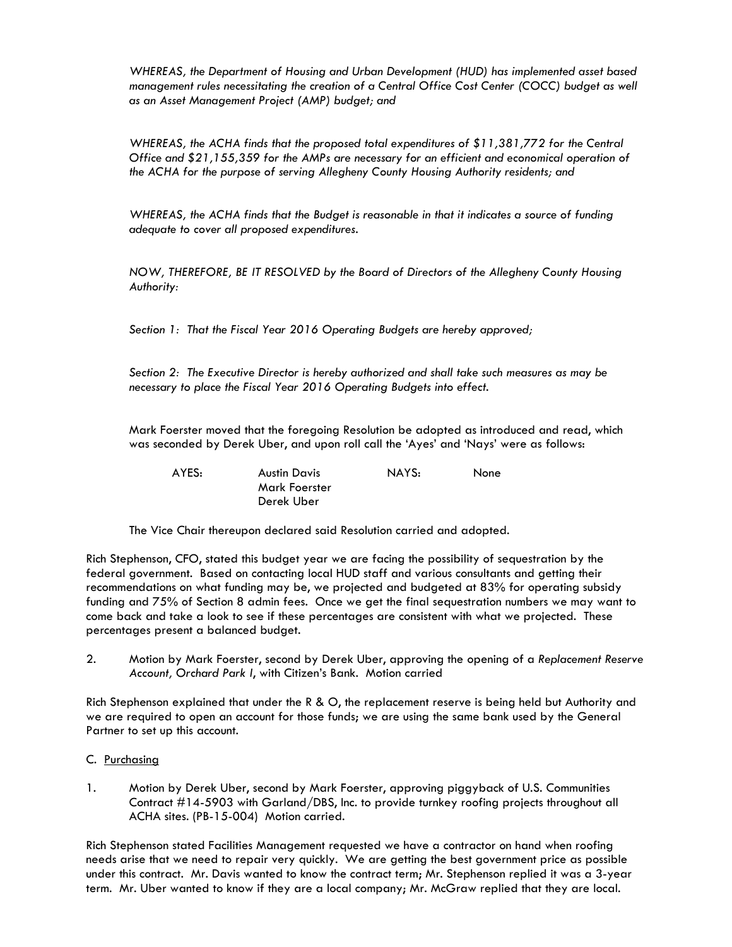*WHEREAS, the Department of Housing and Urban Development (HUD) has implemented asset based management rules necessitating the creation of a Central Office Cost Center (COCC) budget as well as an Asset Management Project (AMP) budget; and* 

 *WHEREAS, the ACHA finds that the proposed total expenditures of \$11,381,772 for the Central Office and \$21,155,359 for the AMPs are necessary for an efficient and economical operation of the ACHA for the purpose of serving Allegheny County Housing Authority residents; and* 

 *WHEREAS, the ACHA finds that the Budget is reasonable in that it indicates a source of funding adequate to cover all proposed expenditures.* 

 *NOW, THEREFORE, BE IT RESOLVED by the Board of Directors of the Allegheny County Housing Authority:* 

 *Section 1: That the Fiscal Year 2016 Operating Budgets are hereby approved;* 

 *Section 2: The Executive Director is hereby authorized and shall take such measures as may be necessary to place the Fiscal Year 2016 Operating Budgets into effect.* 

Mark Foerster moved that the foregoing Resolution be adopted as introduced and read, which was seconded by Derek Uber, and upon roll call the 'Ayes' and 'Nays' were as follows:

 AYES: Austin Davis NAYS: None Mark Foerster Derek Uber

The Vice Chair thereupon declared said Resolution carried and adopted.

Rich Stephenson, CFO, stated this budget year we are facing the possibility of sequestration by the federal government. Based on contacting local HUD staff and various consultants and getting their recommendations on what funding may be, we projected and budgeted at 83% for operating subsidy funding and 75% of Section 8 admin fees. Once we get the final sequestration numbers we may want to come back and take a look to see if these percentages are consistent with what we projected. These percentages present a balanced budget.

2. Motion by Mark Foerster, second by Derek Uber, approving the opening of a *Replacement Reserve Account, Orchard Park I*, with Citizen's Bank. Motion carried

Rich Stephenson explained that under the R & O, the replacement reserve is being held but Authority and we are required to open an account for those funds; we are using the same bank used by the General Partner to set up this account.

- C. Purchasing
- 1. Motion by Derek Uber, second by Mark Foerster, approving piggyback of U.S. Communities Contract #14-5903 with Garland/DBS, Inc. to provide turnkey roofing projects throughout all ACHA sites. (PB-15-004) Motion carried.

Rich Stephenson stated Facilities Management requested we have a contractor on hand when roofing needs arise that we need to repair very quickly. We are getting the best government price as possible under this contract. Mr. Davis wanted to know the contract term; Mr. Stephenson replied it was a 3-year term. Mr. Uber wanted to know if they are a local company; Mr. McGraw replied that they are local.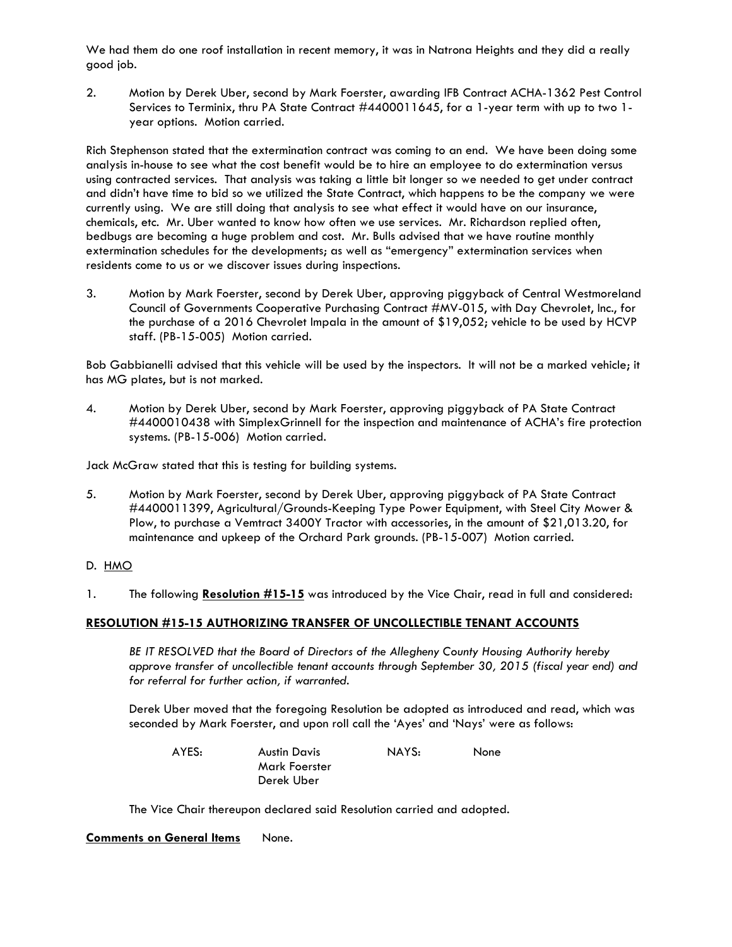We had them do one roof installation in recent memory, it was in Natrona Heights and they did a really good job.

2. Motion by Derek Uber, second by Mark Foerster, awarding IFB Contract ACHA-1362 Pest Control Services to Terminix, thru PA State Contract #4400011645, for a 1-year term with up to two 1 year options. Motion carried.

Rich Stephenson stated that the extermination contract was coming to an end. We have been doing some analysis in-house to see what the cost benefit would be to hire an employee to do extermination versus using contracted services. That analysis was taking a little bit longer so we needed to get under contract and didn't have time to bid so we utilized the State Contract, which happens to be the company we were currently using. We are still doing that analysis to see what effect it would have on our insurance, chemicals, etc. Mr. Uber wanted to know how often we use services. Mr. Richardson replied often, bedbugs are becoming a huge problem and cost. Mr. Bulls advised that we have routine monthly extermination schedules for the developments; as well as "emergency" extermination services when residents come to us or we discover issues during inspections.

3. Motion by Mark Foerster, second by Derek Uber, approving piggyback of Central Westmoreland Council of Governments Cooperative Purchasing Contract #MV-015, with Day Chevrolet, Inc., for the purchase of a 2016 Chevrolet Impala in the amount of \$19,052; vehicle to be used by HCVP staff. (PB-15-005) Motion carried.

Bob Gabbianelli advised that this vehicle will be used by the inspectors. It will not be a marked vehicle; it has MG plates, but is not marked.

4. Motion by Derek Uber, second by Mark Foerster, approving piggyback of PA State Contract #4400010438 with SimplexGrinnell for the inspection and maintenance of ACHA's fire protection systems. (PB-15-006) Motion carried.

Jack McGraw stated that this is testing for building systems.

5. Motion by Mark Foerster, second by Derek Uber, approving piggyback of PA State Contract #4400011399, Agricultural/Grounds-Keeping Type Power Equipment, with Steel City Mower & Plow, to purchase a Vemtract 3400Y Tractor with accessories, in the amount of \$21,013.20, for maintenance and upkeep of the Orchard Park grounds. (PB-15-007) Motion carried.

### D. HMO

1. The following **Resolution #15-15** was introduced by the Vice Chair, read in full and considered:

### **RESOLUTION #15-15 AUTHORIZING TRANSFER OF UNCOLLECTIBLE TENANT ACCOUNTS**

 *BE IT RESOLVED that the Board of Directors of the Allegheny County Housing Authority hereby approve transfer of uncollectible tenant accounts through September 30, 2015 (fiscal year end) and for referral for further action, if warranted.* 

Derek Uber moved that the foregoing Resolution be adopted as introduced and read, which was seconded by Mark Foerster, and upon roll call the 'Ayes' and 'Nays' were as follows:

| AYES: | <b>Austin Davis</b> | NAYS: | None |
|-------|---------------------|-------|------|
|       | Mark Foerster       |       |      |
|       | Derek Uber          |       |      |

The Vice Chair thereupon declared said Resolution carried and adopted.

### **Comments on General Items** None.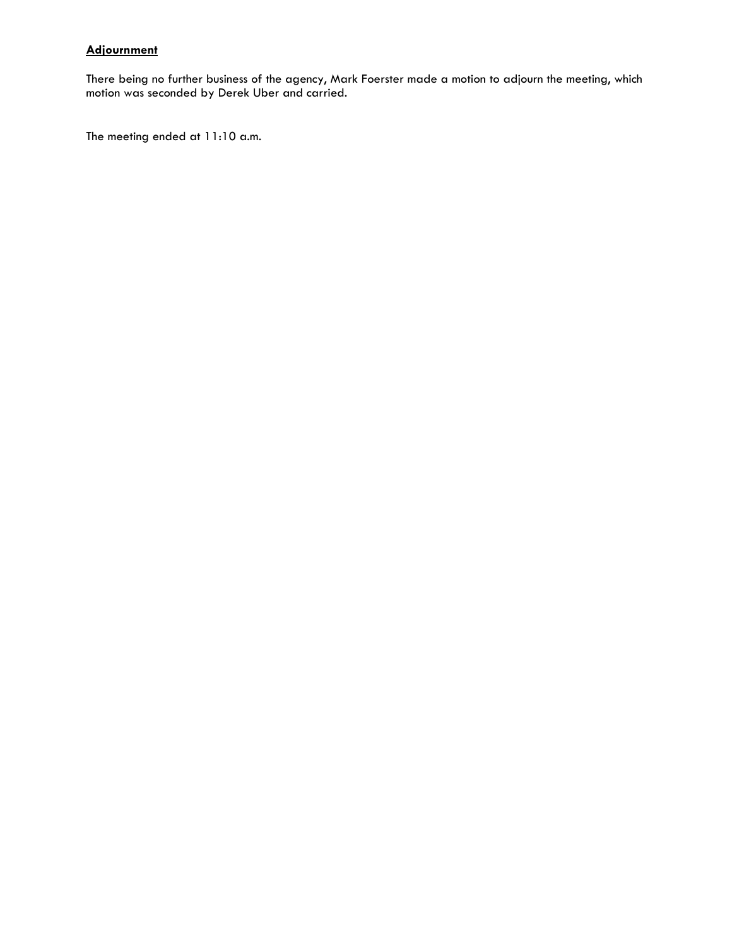# **Adjournment**

There being no further business of the agency, Mark Foerster made a motion to adjourn the meeting, which motion was seconded by Derek Uber and carried.

The meeting ended at 11:10 a.m.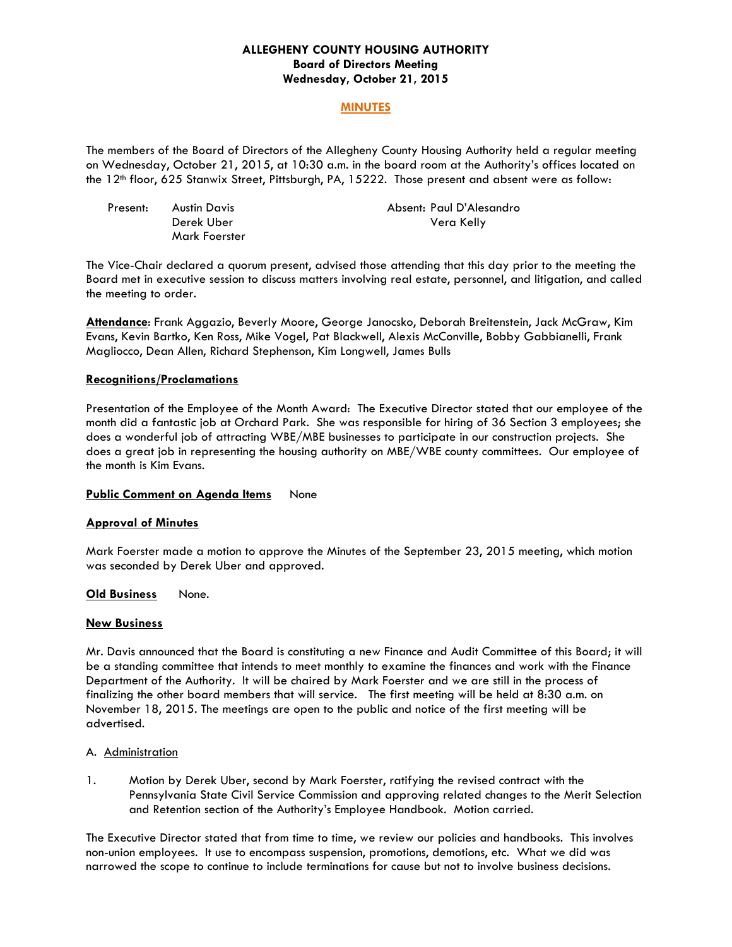### **ALLEGHENY COUNTY HOUSING AUTHORITY Board of Directors Meeting Wednesday, October 21, 2015**

### **MINUTES**

The members of the Board of Directors of the Allegheny County Housing Authority held a regular meeting on Wednesday, October 21, 2015, at 10:30 a.m. in the board room at the Authority's offices located on the 12th floor, 625 Stanwix Street, Pittsburgh, PA, 15222. Those present and absent were as follow:

| Present: | Austin Davis  | Absent: Paul D'Alesandro |
|----------|---------------|--------------------------|
|          | Derek Uber    | Vera Kelly               |
|          | Mark Foerster |                          |

The Vice-Chair declared a quorum present, advised those attending that this day prior to the meeting the Board met in executive session to discuss matters involving real estate, personnel, and litigation, and called the meeting to order.

**Attendance**: Frank Aggazio, Beverly Moore, George Janocsko, Deborah Breitenstein, Jack McGraw, Kim Evans, Kevin Bartko, Ken Ross, Mike Vogel, Pat Blackwell, Alexis McConville, Bobby Gabbianelli, Frank Magliocco, Dean Allen, Richard Stephenson, Kim Longwell, James Bulls

#### **Recognitions/Proclamations**

Presentation of the Employee of the Month Award: The Executive Director stated that our employee of the month did a fantastic job at Orchard Park. She was responsible for hiring of 36 Section 3 employees; she does a wonderful job of attracting WBE/MBE businesses to participate in our construction projects. She does a great job in representing the housing authority on MBE/WBE county committees. Our employee of the month is Kim Evans.

### **Public Comment on Agenda Items** None

### **Approval of Minutes**

Mark Foerster made a motion to approve the Minutes of the September 23, 2015 meeting, which motion was seconded by Derek Uber and approved.

### **Old Business** None.

### **New Business**

Mr. Davis announced that the Board is constituting a new Finance and Audit Committee of this Board; it will be a standing committee that intends to meet monthly to examine the finances and work with the Finance Department of the Authority. It will be chaired by Mark Foerster and we are still in the process of finalizing the other board members that will service. The first meeting will be held at 8:30 a.m. on November 18, 2015. The meetings are open to the public and notice of the first meeting will be advertised.

#### A. Administration

1. Motion by Derek Uber, second by Mark Foerster, ratifying the revised contract with the Pennsylvania State Civil Service Commission and approving related changes to the Merit Selection and Retention section of the Authority's Employee Handbook. Motion carried.

The Executive Director stated that from time to time, we review our policies and handbooks. This involves non-union employees. It use to encompass suspension, promotions, demotions, etc. What we did was narrowed the scope to continue to include terminations for cause but not to involve business decisions.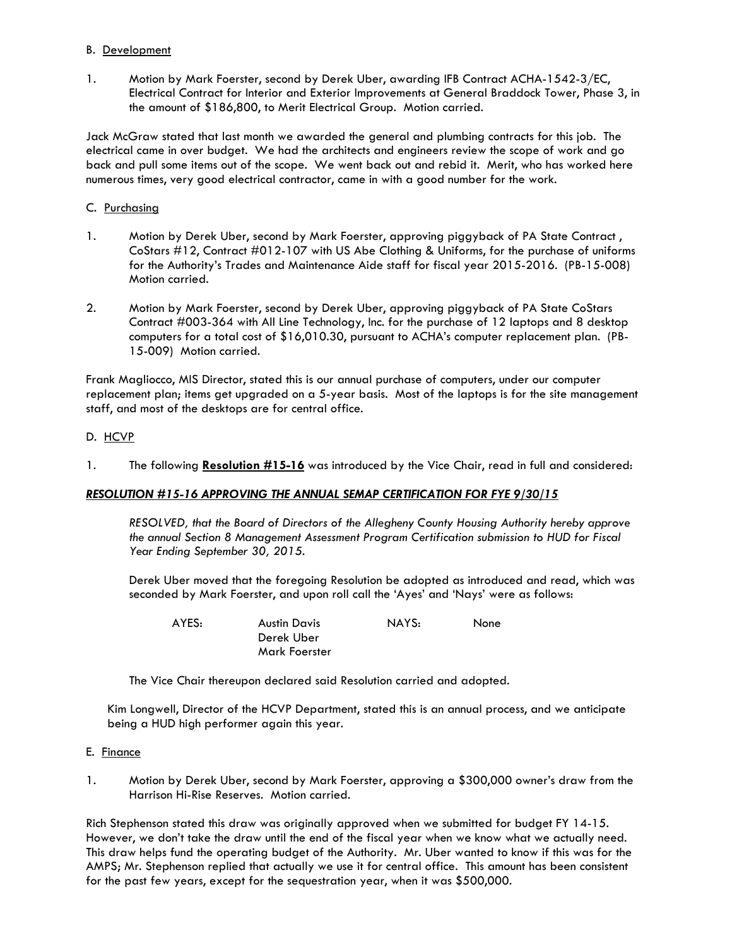### B. Development

1. Motion by Mark Foerster, second by Derek Uber, awarding IFB Contract ACHA-1542-3/EC, Electrical Contract for Interior and Exterior Improvements at General Braddock Tower, Phase 3, in the amount of \$186,800, to Merit Electrical Group. Motion carried.

Jack McGraw stated that last month we awarded the general and plumbing contracts for this job. The electrical came in over budget. We had the architects and engineers review the scope of work and go back and pull some items out of the scope. We went back out and rebid it. Merit, who has worked here numerous times, very good electrical contractor, came in with a good number for the work.

### C. Purchasing

- 1. Motion by Derek Uber, second by Mark Foerster, approving piggyback of PA State Contract, CoStars #12, Contract #012-107 with US Abe Clothing & Uniforms, for the purchase of uniforms for the Authority's Trades and Maintenance Aide staff for fiscal year 2015-2016. (PB-15-008) Motion carried.
- 2. Motion by Mark Foerster, second by Derek Uber, approving piggyback of PA State CoStars Contract #003-364 with All Line Technology, Inc. for the purchase of 12 laptops and 8 desktop computers for a total cost of \$16,010.30, pursuant to ACHA's computer replacement plan. (PB-15-009) Motion carried.

Frank Magliocco, MIS Director, stated this is our annual purchase of computers, under our computer replacement plan; items get upgraded on a 5-year basis. Most of the laptops is for the site management staff, and most of the desktops are for central office.

# D. HCVP

1. The following **Resolution #15-16** was introduced by the Vice Chair, read in full and considered:

### *RESOLUTION #15-16 APPROVING THE ANNUAL SEMAP CERTIFICATION FOR FYE 9/30/15*

 *RESOLVED, that the Board of Directors of the Allegheny County Housing Authority hereby approve the annual Section 8 Management Assessment Program Certification submission to HUD for Fiscal Year Ending September 30, 2015.* 

Derek Uber moved that the foregoing Resolution be adopted as introduced and read, which was seconded by Mark Foerster, and upon roll call the 'Ayes' and 'Nays' were as follows:

AYES: Austin Davis NAYS: None Derek Uber Mark Foerster

The Vice Chair thereupon declared said Resolution carried and adopted.

Kim Longwell, Director of the HCVP Department, stated this is an annual process, and we anticipate being a HUD high performer again this year.

### E. Finance

1. Motion by Derek Uber, second by Mark Foerster, approving a \$300,000 owner's draw from the Harrison Hi-Rise Reserves. Motion carried.

Rich Stephenson stated this draw was originally approved when we submitted for budget FY 14-15. However, we don't take the draw until the end of the fiscal year when we know what we actually need. This draw helps fund the operating budget of the Authority. Mr. Uber wanted to know if this was for the AMPS; Mr. Stephenson replied that actually we use it for central office. This amount has been consistent for the past few years, except for the sequestration year, when it was \$500,000.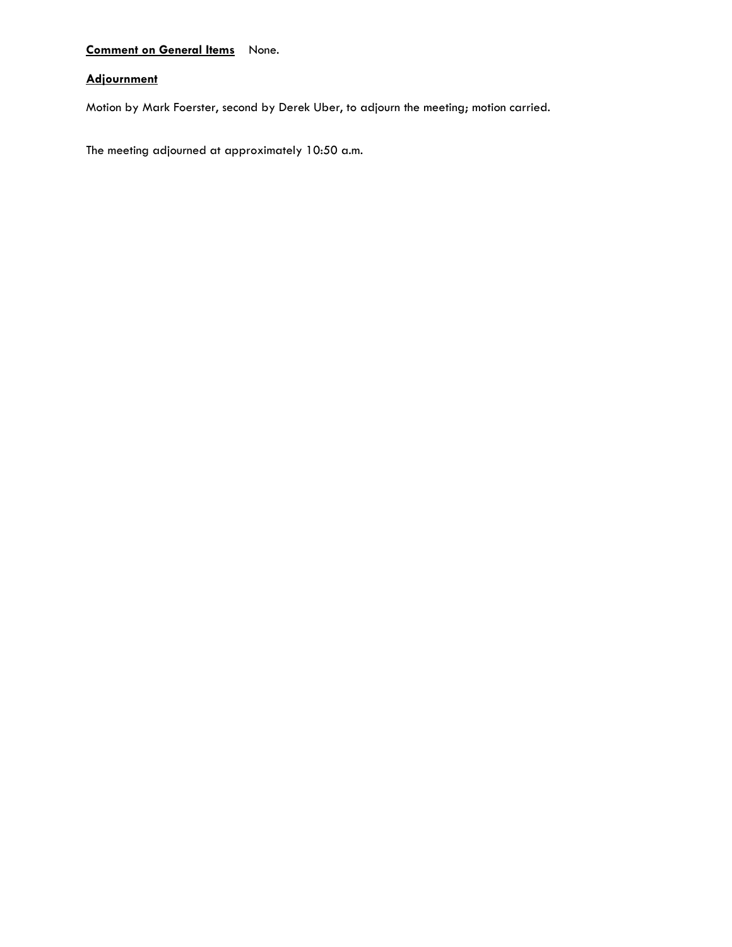# **Comment on General Items** None.

# **Adjournment**

Motion by Mark Foerster, second by Derek Uber, to adjourn the meeting; motion carried.

The meeting adjourned at approximately 10:50 a.m.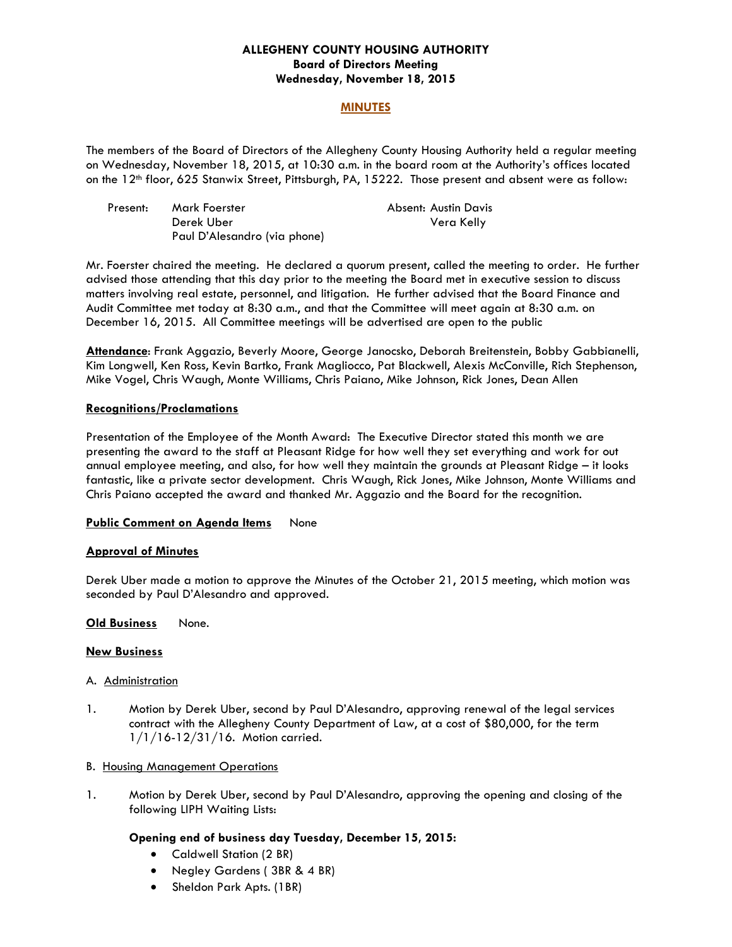## **ALLEGHENY COUNTY HOUSING AUTHORITY Board of Directors Meeting Wednesday, November 18, 2015**

### **MINUTES**

The members of the Board of Directors of the Allegheny County Housing Authority held a regular meeting on Wednesday, November 18, 2015, at 10:30 a.m. in the board room at the Authority's offices located on the 12<sup>th</sup> floor, 625 Stanwix Street, Pittsburgh, PA, 15222. Those present and absent were as follow:

| Present: | Mark Foerster                | Absent: Austin Davis |
|----------|------------------------------|----------------------|
|          | Derek Uber                   | Vera Kelly           |
|          | Paul D'Alesandro (via phone) |                      |

Mr. Foerster chaired the meeting. He declared a quorum present, called the meeting to order. He further advised those attending that this day prior to the meeting the Board met in executive session to discuss matters involving real estate, personnel, and litigation. He further advised that the Board Finance and Audit Committee met today at 8:30 a.m., and that the Committee will meet again at 8:30 a.m. on December 16, 2015. All Committee meetings will be advertised are open to the public

**Attendance**: Frank Aggazio, Beverly Moore, George Janocsko, Deborah Breitenstein, Bobby Gabbianelli, Kim Longwell, Ken Ross, Kevin Bartko, Frank Magliocco, Pat Blackwell, Alexis McConville, Rich Stephenson, Mike Vogel, Chris Waugh, Monte Williams, Chris Paiano, Mike Johnson, Rick Jones, Dean Allen

### **Recognitions/Proclamations**

Presentation of the Employee of the Month Award: The Executive Director stated this month we are presenting the award to the staff at Pleasant Ridge for how well they set everything and work for out annual employee meeting, and also, for how well they maintain the grounds at Pleasant Ridge – it looks fantastic, like a private sector development. Chris Waugh, Rick Jones, Mike Johnson, Monte Williams and Chris Paiano accepted the award and thanked Mr. Aggazio and the Board for the recognition.

### **Public Comment on Agenda Items** None

### **Approval of Minutes**

Derek Uber made a motion to approve the Minutes of the October 21, 2015 meeting, which motion was seconded by Paul D'Alesandro and approved.

### **Old Business** None.

### **New Business**

### A. Administration

1. Motion by Derek Uber, second by Paul D'Alesandro, approving renewal of the legal services contract with the Allegheny County Department of Law, at a cost of \$80,000, for the term 1/1/16-12/31/16. Motion carried.

### B. Housing Management Operations

1. Motion by Derek Uber, second by Paul D'Alesandro, approving the opening and closing of the following LIPH Waiting Lists:

# **Opening end of business day Tuesday, December 15, 2015:**

- Caldwell Station (2 BR)
- Negley Gardens (3BR & 4 BR)
- Sheldon Park Apts. (1BR)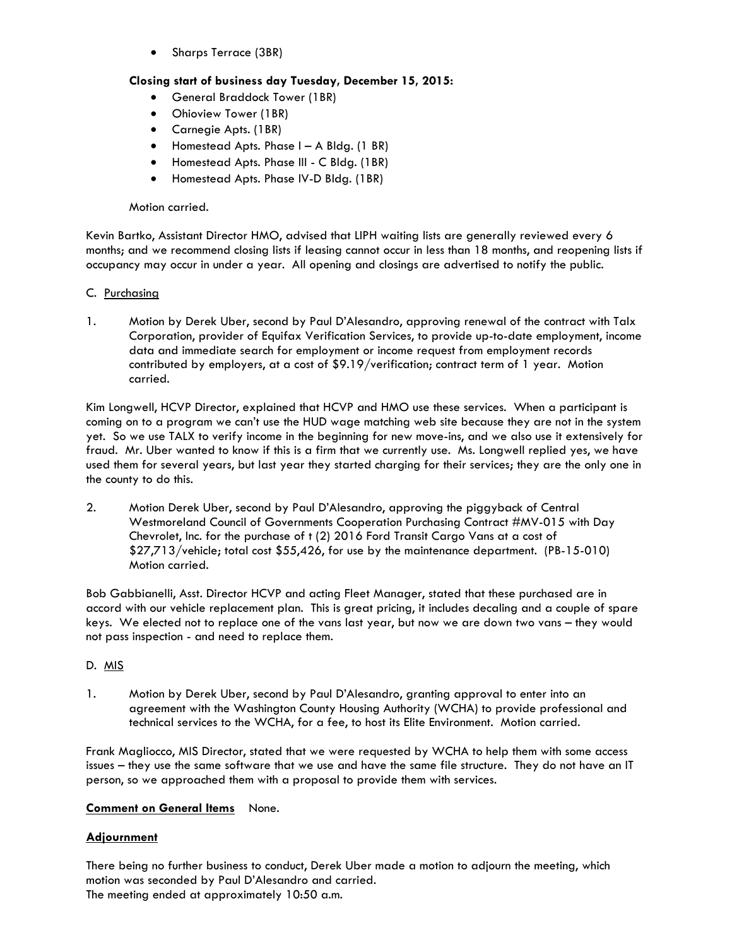• Sharps Terrace (3BR)

# **Closing start of business day Tuesday, December 15, 2015:**

- General Braddock Tower (1BR)
- Ohioview Tower (1BR)
- Carnegie Apts. (1BR)
- Homestead Apts. Phase I A Bldg. (1 BR)
- Homestead Apts. Phase III C Bldg. (1BR)
- Homestead Apts. Phase IV-D Bldg. (1BR)

### Motion carried.

Kevin Bartko, Assistant Director HMO, advised that LIPH waiting lists are generally reviewed every 6 months; and we recommend closing lists if leasing cannot occur in less than 18 months, and reopening lists if occupancy may occur in under a year. All opening and closings are advertised to notify the public.

## C. Purchasing

1. Motion by Derek Uber, second by Paul D'Alesandro, approving renewal of the contract with Talx Corporation, provider of Equifax Verification Services, to provide up-to-date employment, income data and immediate search for employment or income request from employment records contributed by employers, at a cost of \$9.19/verification; contract term of 1 year. Motion carried.

Kim Longwell, HCVP Director, explained that HCVP and HMO use these services. When a participant is coming on to a program we can't use the HUD wage matching web site because they are not in the system yet. So we use TALX to verify income in the beginning for new move-ins, and we also use it extensively for fraud. Mr. Uber wanted to know if this is a firm that we currently use. Ms. Longwell replied yes, we have used them for several years, but last year they started charging for their services; they are the only one in the county to do this.

2. Motion Derek Uber, second by Paul D'Alesandro, approving the piggyback of Central Westmoreland Council of Governments Cooperation Purchasing Contract #MV-015 with Day Chevrolet, Inc. for the purchase of t (2) 2016 Ford Transit Cargo Vans at a cost of \$27,713/vehicle; total cost \$55,426, for use by the maintenance department. (PB-15-010) Motion carried.

Bob Gabbianelli, Asst. Director HCVP and acting Fleet Manager, stated that these purchased are in accord with our vehicle replacement plan. This is great pricing, it includes decaling and a couple of spare keys. We elected not to replace one of the vans last year, but now we are down two vans – they would not pass inspection - and need to replace them.

### D. MIS

1. Motion by Derek Uber, second by Paul D'Alesandro, granting approval to enter into an agreement with the Washington County Housing Authority (WCHA) to provide professional and technical services to the WCHA, for a fee, to host its Elite Environment. Motion carried.

Frank Magliocco, MIS Director, stated that we were requested by WCHA to help them with some access issues – they use the same software that we use and have the same file structure. They do not have an IT person, so we approached them with a proposal to provide them with services.

### **Comment on General Items** None.

# **Adjournment**

There being no further business to conduct, Derek Uber made a motion to adjourn the meeting, which motion was seconded by Paul D'Alesandro and carried. The meeting ended at approximately 10:50 a.m.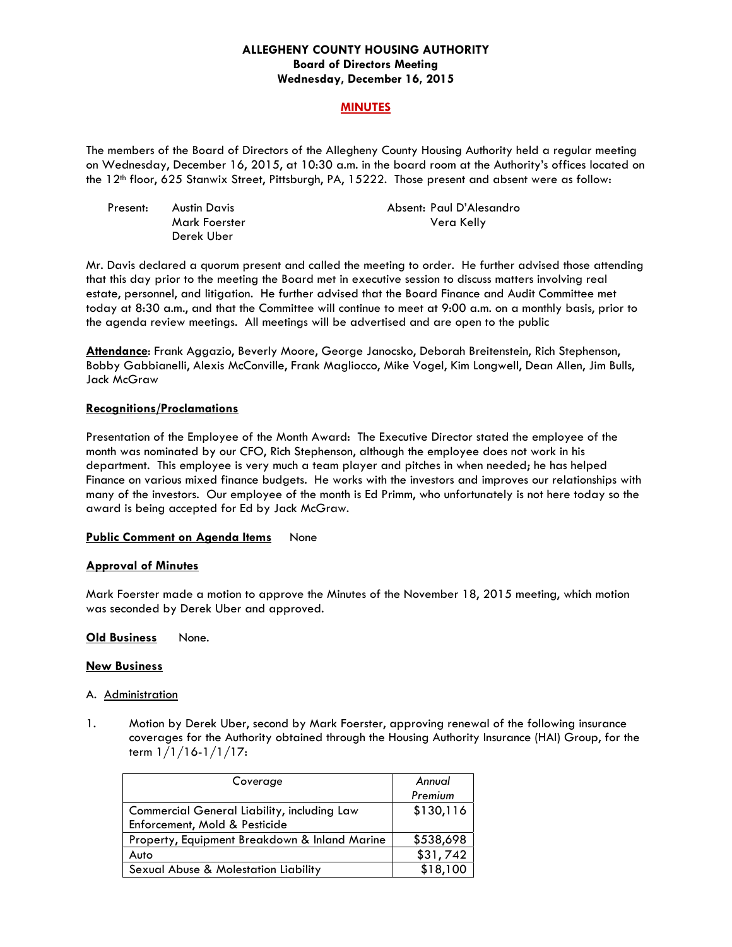## **ALLEGHENY COUNTY HOUSING AUTHORITY Board of Directors Meeting Wednesday, December 16, 2015**

### **MINUTES**

The members of the Board of Directors of the Allegheny County Housing Authority held a regular meeting on Wednesday, December 16, 2015, at 10:30 a.m. in the board room at the Authority's offices located on the 12th floor, 625 Stanwix Street, Pittsburgh, PA, 15222. Those present and absent were as follow:

| Present: | Austin Davis  | Absent: Paul D'Alesandro |
|----------|---------------|--------------------------|
|          | Mark Foerster | Vera Kelly               |
|          | Derek Uber    |                          |

Mr. Davis declared a quorum present and called the meeting to order. He further advised those attending that this day prior to the meeting the Board met in executive session to discuss matters involving real estate, personnel, and litigation. He further advised that the Board Finance and Audit Committee met today at 8:30 a.m., and that the Committee will continue to meet at 9:00 a.m. on a monthly basis, prior to the agenda review meetings. All meetings will be advertised and are open to the public

**Attendance**: Frank Aggazio, Beverly Moore, George Janocsko, Deborah Breitenstein, Rich Stephenson, Bobby Gabbianelli, Alexis McConville, Frank Magliocco, Mike Vogel, Kim Longwell, Dean Allen, Jim Bulls, Jack McGraw

### **Recognitions/Proclamations**

Presentation of the Employee of the Month Award: The Executive Director stated the employee of the month was nominated by our CFO, Rich Stephenson, although the employee does not work in his department. This employee is very much a team player and pitches in when needed; he has helped Finance on various mixed finance budgets. He works with the investors and improves our relationships with many of the investors. Our employee of the month is Ed Primm, who unfortunately is not here today so the award is being accepted for Ed by Jack McGraw.

### **Public Comment on Agenda Items** None

### **Approval of Minutes**

Mark Foerster made a motion to approve the Minutes of the November 18, 2015 meeting, which motion was seconded by Derek Uber and approved.

**Old Business** None.

### **New Business**

### A. Administration

1. Motion by Derek Uber, second by Mark Foerster, approving renewal of the following insurance coverages for the Authority obtained through the Housing Authority Insurance (HAI) Group, for the term 1/1/16-1/1/17:

| Coverage                                      | Annual    |
|-----------------------------------------------|-----------|
|                                               | Premium   |
| Commercial General Liability, including Law   | \$130,116 |
| Enforcement, Mold & Pesticide                 |           |
| Property, Equipment Breakdown & Inland Marine | \$538,698 |
| Auto                                          | \$31,742  |
| Sexual Abuse & Molestation Liability          | \$18,100  |